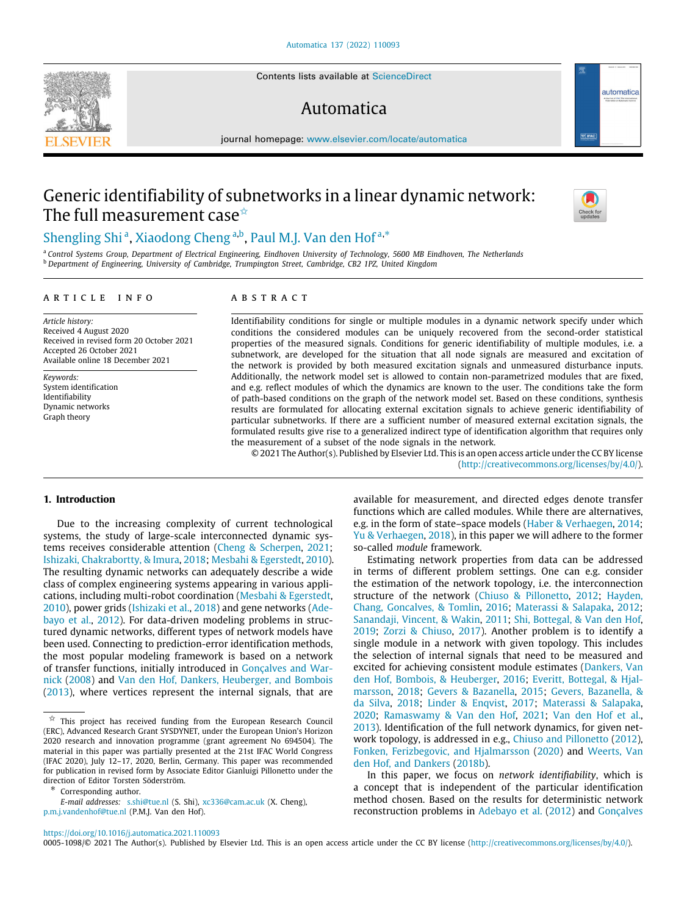Contents lists available at [ScienceDirect](http://www.elsevier.com/locate/automatica)

# Automatica

journal homepage: [www.elsevier.com/locate/automatica](http://www.elsevier.com/locate/automatica)

# Generic identifiability of subnetworks in a linear dynamic network: The full measurement case<sup> $\star$ </sup>

# [Shengling](#page-13-0) [Shi](#page-13-0)<sup>[a](#page-0-1)</sup>, [Xiaodong](#page-13-1) [Cheng](#page-13-1)<sup>a,[b](#page-0-2)</sup>, [Paul](#page-13-2) [M.J.](#page-13-2) [Van den Hof](#page-13-2)<sup>a,\*</sup>

<span id="page-0-2"></span><span id="page-0-1"></span><sup>a</sup> *Control Systems Group, Department of Electrical Engineering, Eindhoven University of Technology, 5600 MB Eindhoven, The Netherlands* <sup>b</sup> *Department of Engineering, University of Cambridge, Trumpington Street, Cambridge, CB2 1PZ, United Kingdom*

# A R T I C L E I N F O

*Article history:* Received 4 August 2020 Received in revised form 20 October 2021 Accepted 26 October 2021 Available online 18 December 2021

*Keywords:* System identification Identifiability Dynamic networks Graph theory

# A B S T R A C T

Identifiability conditions for single or multiple modules in a dynamic network specify under which conditions the considered modules can be uniquely recovered from the second-order statistical properties of the measured signals. Conditions for generic identifiability of multiple modules, i.e. a subnetwork, are developed for the situation that all node signals are measured and excitation of the network is provided by both measured excitation signals and unmeasured disturbance inputs. Additionally, the network model set is allowed to contain non-parametrized modules that are fixed, and e.g. reflect modules of which the dynamics are known to the user. The conditions take the form of path-based conditions on the graph of the network model set. Based on these conditions, synthesis results are formulated for allocating external excitation signals to achieve generic identifiability of particular subnetworks. If there are a sufficient number of measured external excitation signals, the formulated results give rise to a generalized indirect type of identification algorithm that requires only the measurement of a subset of the node signals in the network.

© 2021 The Author(s). Published by Elsevier Ltd. This is an open access article under the CC BY license [\(http://creativecommons.org/licenses/by/4.0/](http://creativecommons.org/licenses/by/4.0/)).

### **1. Introduction**

Due to the increasing complexity of current technological systems, the study of large-scale interconnected dynamic systems receives considerable attention ([Cheng & Scherpen](#page-12-0), [2021;](#page-12-0) [Ishizaki, Chakrabortty, & Imura,](#page-12-1) [2018;](#page-12-1) [Mesbahi & Egerstedt,](#page-12-2) [2010\)](#page-12-2). The resulting dynamic networks can adequately describe a wide class of complex engineering systems appearing in various applications, including multi-robot coordination [\(Mesbahi & Egerstedt,](#page-12-2) [2010\)](#page-12-2), power grids ([Ishizaki et al.](#page-12-1), [2018\)](#page-12-1) and gene networks ([Ade](#page-12-3)[bayo et al.](#page-12-3), [2012\)](#page-12-3). For data-driven modeling problems in structured dynamic networks, different types of network models have been used. Connecting to prediction-error identification methods, the most popular modeling framework is based on a network of transfer functions, initially introduced in [Gonçalves and War](#page-12-4)[nick](#page-12-4) ([2008](#page-12-4)) and [Van den Hof, Dankers, Heuberger, and Bombois](#page-12-5) ([2013\)](#page-12-5), where vertices represent the internal signals, that are

<span id="page-0-3"></span>∗ Corresponding author.

available for measurement, and directed edges denote transfer functions which are called modules. While there are alternatives, e.g. in the form of state–space models [\(Haber & Verhaegen](#page-12-6), [2014;](#page-12-6) [Yu & Verhaegen,](#page-13-3) [2018\)](#page-13-3), in this paper we will adhere to the former so-called *module* framework.

Estimating network properties from data can be addressed in terms of different problem settings. One can e.g. consider the estimation of the network topology, i.e. the interconnection structure of the network [\(Chiuso & Pillonetto](#page-12-7), [2012;](#page-12-7) [Hayden,](#page-12-8) [Chang, Goncalves, & Tomlin](#page-12-8), [2016;](#page-12-8) [Materassi & Salapaka](#page-12-9), [2012;](#page-12-9) [Sanandaji, Vincent, & Wakin](#page-12-10), [2011](#page-12-10); [Shi, Bottegal, & Van den Hof,](#page-12-11) [2019;](#page-12-11) [Zorzi & Chiuso,](#page-13-4) [2017](#page-13-4)). Another problem is to identify a single module in a network with given topology. This includes the selection of internal signals that need to be measured and excited for achieving consistent module estimates ([Dankers, Van](#page-12-12) [den Hof, Bombois, & Heuberger](#page-12-12), [2016;](#page-12-12) [Everitt, Bottegal, & Hjal](#page-12-13)[marsson](#page-12-13), [2018;](#page-12-13) [Gevers & Bazanella](#page-12-14), [2015](#page-12-14); [Gevers, Bazanella, &](#page-12-15) [da Silva](#page-12-15), [2018;](#page-12-15) [Linder & Enqvist,](#page-12-16) [2017](#page-12-16); [Materassi & Salapaka,](#page-12-17) [2020;](#page-12-17) [Ramaswamy & Van den Hof](#page-12-18), [2021;](#page-12-18) [Van den Hof et al.,](#page-12-5) [2013\)](#page-12-5). Identification of the full network dynamics, for given network topology, is addressed in e.g., [Chiuso and Pillonetto](#page-12-7) [\(2012\)](#page-12-7), [Fonken, Ferizbegovic, and Hjalmarsson](#page-12-19) [\(2020](#page-12-19)) and [Weerts, Van](#page-13-5) [den Hof, and Dankers](#page-13-5) [\(2018b](#page-13-5)).

In this paper, we focus on *network identifiability*, which is a concept that is independent of the particular identification method chosen. Based on the results for deterministic network reconstruction problems in [Adebayo et al.](#page-12-3) [\(2012\)](#page-12-3) and [Gonçalves](#page-12-4)

<https://doi.org/10.1016/j.automatica.2021.110093>

0005-1098/© 2021 The Author(s). Published by Elsevier Ltd. This is an open access article under the CC BY license [\(http://creativecommons.org/licenses/by/4.0/](http://creativecommons.org/licenses/by/4.0/)).





<span id="page-0-0"></span> $\overleftrightarrow{\mathbf{x}}$  This project has received funding from the European Research Council (ERC), Advanced Research Grant SYSDYNET, under the European Union's Horizon 2020 research and innovation programme (grant agreement No 694504). The material in this paper was partially presented at the 21st IFAC World Congress (IFAC 2020), July 12–17, 2020, Berlin, Germany. This paper was recommended for publication in revised form by Associate Editor Gianluigi Pillonetto under the direction of Editor Torsten Söderström.

*E-mail addresses:* [s.shi@tue.nl](mailto:s.shi@tue.nl) (S. Shi), [xc336@cam.ac.uk](mailto:xc336@cam.ac.uk) (X. Cheng), [p.m.j.vandenhof@tue.nl](mailto:p.m.j.vandenhof@tue.nl) (P.M.J. Van den Hof).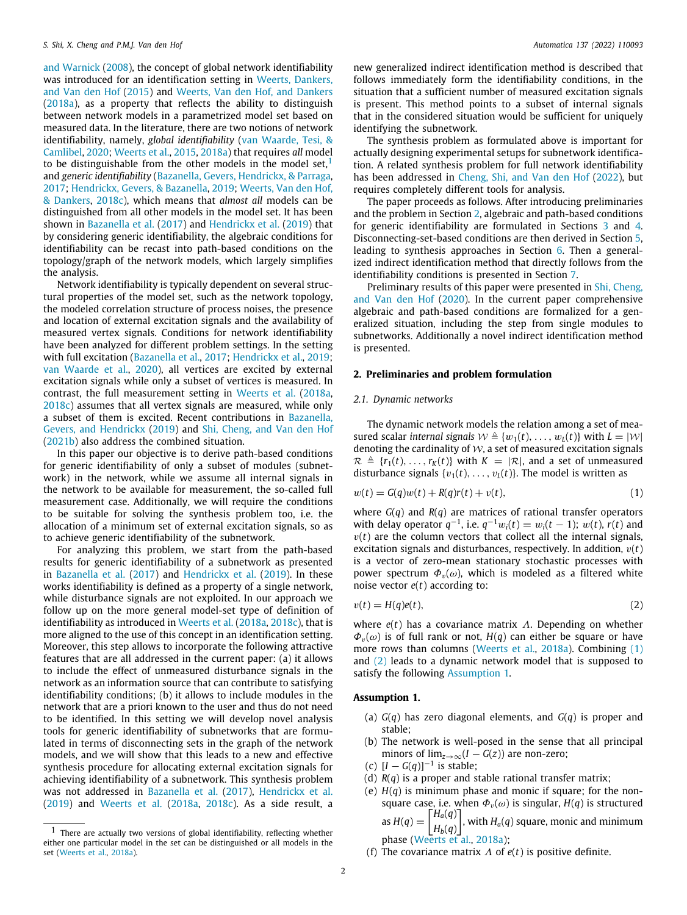[and Warnick](#page-12-4) [\(2008](#page-12-4)), the concept of global network identifiability was introduced for an identification setting in [Weerts, Dankers,](#page-13-6) [and Van den Hof](#page-13-6) [\(2015\)](#page-13-6) and [Weerts, Van den Hof, and Dankers](#page-13-7) ([2018a](#page-13-7)), as a property that reflects the ability to distinguish between network models in a parametrized model set based on measured data. In the literature, there are two notions of network identifiability, namely, *global identifiability* ([van Waarde, Tesi, &](#page-13-8) [Camlibel](#page-13-8), [2020](#page-13-8); [Weerts et al.,](#page-13-6) [2015](#page-13-6), [2018a](#page-13-7)) that requires *all* model to be distinguishable from the other models in the model set,<sup>[1](#page-1-0)</sup> and *generic identifiability* [\(Bazanella, Gevers, Hendrickx, & Parraga,](#page-12-20) [2017;](#page-12-20) [Hendrickx, Gevers, & Bazanella,](#page-12-21) [2019](#page-12-21); [Weerts, Van den Hof,](#page-13-9) [& Dankers](#page-13-9), [2018c\)](#page-13-9), which means that *almost all* models can be distinguished from all other models in the model set. It has been shown in [Bazanella et al.](#page-12-20) ([2017\)](#page-12-20) and [Hendrickx et al.](#page-12-21) [\(2019](#page-12-21)) that by considering generic identifiability, the algebraic conditions for identifiability can be recast into path-based conditions on the topology/graph of the network models, which largely simplifies the analysis.

Network identifiability is typically dependent on several structural properties of the model set, such as the network topology, the modeled correlation structure of process noises, the presence and location of external excitation signals and the availability of measured vertex signals. Conditions for network identifiability have been analyzed for different problem settings. In the setting with full excitation [\(Bazanella et al.](#page-12-20), [2017;](#page-12-20) [Hendrickx et al.](#page-12-21), [2019;](#page-12-21) [van Waarde et al.](#page-13-8), [2020\)](#page-13-8), all vertices are excited by external excitation signals while only a subset of vertices is measured. In contrast, the full measurement setting in [Weerts et al.](#page-13-7) [\(2018a,](#page-13-7) [2018c\)](#page-13-9) assumes that all vertex signals are measured, while only a subset of them is excited. Recent contributions in [Bazanella,](#page-12-22) [Gevers, and Hendrickx](#page-12-22) [\(2019\)](#page-12-22) and [Shi, Cheng, and Van den Hof](#page-12-23) ([2021b\)](#page-12-23) also address the combined situation.

In this paper our objective is to derive path-based conditions for generic identifiability of only a subset of modules (subnetwork) in the network, while we assume all internal signals in the network to be available for measurement, the so-called full measurement case. Additionally, we will require the conditions to be suitable for solving the synthesis problem too, i.e. the allocation of a minimum set of external excitation signals, so as to achieve generic identifiability of the subnetwork.

For analyzing this problem, we start from the path-based results for generic identifiability of a subnetwork as presented in [Bazanella et al.](#page-12-20) [\(2017\)](#page-12-20) and [Hendrickx et al.](#page-12-21) [\(2019](#page-12-21)). In these works identifiability is defined as a property of a single network, while disturbance signals are not exploited. In our approach we follow up on the more general model-set type of definition of identifiability as introduced in [Weerts et al.](#page-13-7) [\(2018a,](#page-13-7) [2018c](#page-13-9)), that is more aligned to the use of this concept in an identification setting. Moreover, this step allows to incorporate the following attractive features that are all addressed in the current paper: (a) it allows to include the effect of unmeasured disturbance signals in the network as an information source that can contribute to satisfying identifiability conditions; (b) it allows to include modules in the network that are a priori known to the user and thus do not need to be identified. In this setting we will develop novel analysis tools for generic identifiability of subnetworks that are formulated in terms of disconnecting sets in the graph of the network models, and we will show that this leads to a new and effective synthesis procedure for allocating external excitation signals for achieving identifiability of a subnetwork. This synthesis problem was not addressed in [Bazanella et al.](#page-12-20) [\(2017](#page-12-20)), [Hendrickx et al.](#page-12-21) ([2019\)](#page-12-21) and [Weerts et al.](#page-13-7) [\(2018a,](#page-13-7) [2018c\)](#page-13-9). As a side result, a

new generalized indirect identification method is described that follows immediately form the identifiability conditions, in the situation that a sufficient number of measured excitation signals is present. This method points to a subset of internal signals that in the considered situation would be sufficient for uniquely identifying the subnetwork.

<span id="page-1-0"></span>The synthesis problem as formulated above is important for actually designing experimental setups for subnetwork identification. A related synthesis problem for full network identifiability has been addressed in [Cheng, Shi, and Van den Hof](#page-12-24) [\(2022](#page-12-24)), but requires completely different tools for analysis.

The paper proceeds as follows. After introducing preliminaries and the problem in Section [2,](#page-1-1) algebraic and path-based conditions for generic identifiability are formulated in Sections [3](#page-4-0) and [4.](#page-5-0) Disconnecting-set-based conditions are then derived in Section [5,](#page-6-0) leading to synthesis approaches in Section [6.](#page-7-0) Then a generalized indirect identification method that directly follows from the identifiability conditions is presented in Section [7.](#page-9-0)

Preliminary results of this paper were presented in [Shi, Cheng,](#page-12-25) [and Van den Hof](#page-12-25) ([2020\)](#page-12-25). In the current paper comprehensive algebraic and path-based conditions are formalized for a generalized situation, including the step from single modules to subnetworks. Additionally a novel indirect identification method is presented.

#### **2. Preliminaries and problem formulation**

## <span id="page-1-1"></span>*2.1. Dynamic networks*

The dynamic network models the relation among a set of measured scalar *internal signals*  $W \triangleq \{w_1(t), \ldots, w_l(t)\}\$  with  $L = |W|$ denoting the cardinality of  $W$ , a set of measured excitation signals  $\mathcal{R} \triangleq \{r_1(t), \ldots, r_K(t)\}\$  with  $K = |\mathcal{R}|$ , and a set of unmeasured disturbance signals  $\{v_1(t), \ldots, v_L(t)\}$ . The model is written as

<span id="page-1-2"></span>
$$
w(t) = G(q)w(t) + R(q)r(t) + v(t),
$$
\n(1)

where  $G(q)$  and  $R(q)$  are matrices of rational transfer operators with delay operator  $q^{-1}$ , i.e.  $q^{-1}w_i(t) = w_i(t-1)$ ;  $w(t)$ ,  $r(t)$  and  $v(t)$  are the column vectors that collect all the internal signals, excitation signals and disturbances, respectively. In addition,  $v(t)$ is a vector of zero-mean stationary stochastic processes with power spectrum  $\Phi_{\nu}(\omega)$ , which is modeled as a filtered white noise vector *e*(*t*) according to:

<span id="page-1-3"></span>
$$
v(t) = H(q)e(t),
$$
\n(2)

where *e*(*t*) has a covariance matrix Λ. Depending on whether  $\Phi_{v}(\omega)$  is of full rank or not,  $H(q)$  can either be square or have more rows than columns [\(Weerts et al.,](#page-13-7) [2018a\)](#page-13-7). Combining ([1\)](#page-1-2) and [\(2](#page-1-3)) leads to a dynamic network model that is supposed to satisfy the following [Assumption](#page-1-4) [1.](#page-1-4)

### **Assumption 1.**

- <span id="page-1-4"></span>(a) *G*(*q*) has zero diagonal elements, and *G*(*q*) is proper and stable;
- (b) The network is well-posed in the sense that all principal minors of  $\lim_{z\to\infty}$  (*I* – *G*(*z*)) are non-zero;
- (c)  $[I G(q)]^{-1}$  is stable;
- (d) *R*(*q*) is a proper and stable rational transfer matrix;
- (e)  $H(q)$  is minimum phase and monic if square; for the nonsquare case, i.e. when  $\Phi_{\nu}(\omega)$  is singular,  $H(q)$  is structured as  $H(q) = \begin{bmatrix} H_a(q) \\ H_a(q) \end{bmatrix}$ *Hb*(*q*)  $\left.\rule{0pt}{10pt}\right]$ , with  $H_a(q)$  square, monic and minimum
	- phase [\(Weerts et al.](#page-13-7), [2018a\)](#page-13-7);
- (f) The covariance matrix Λ of *e*(*t*) is positive definite.

<sup>1</sup> There are actually two versions of global identifiability, reflecting whether either one particular model in the set can be distinguished or all models in the set ([Weerts et al.](#page-13-7), [2018a](#page-13-7)).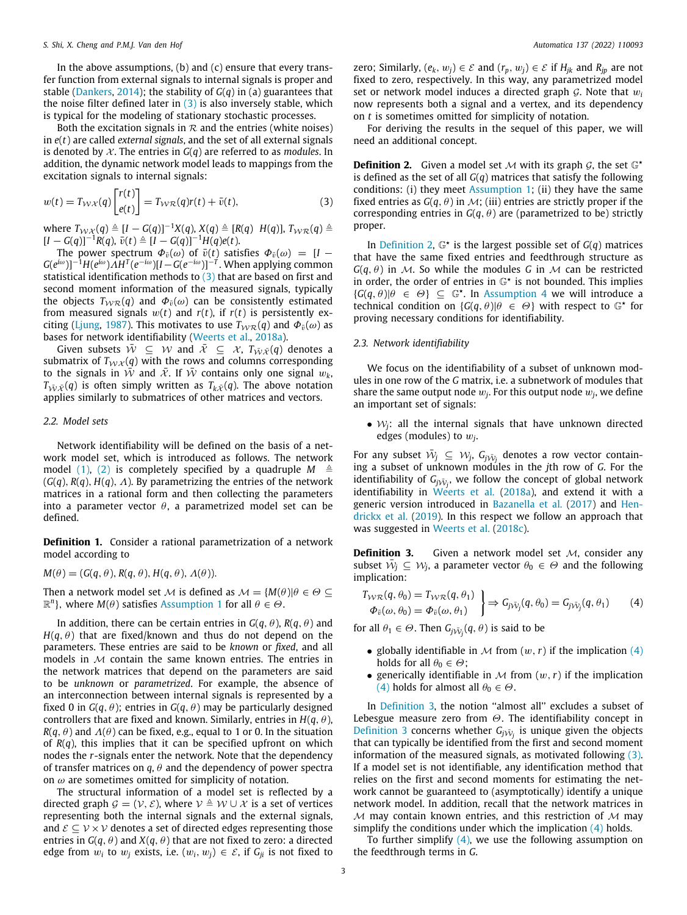In the above assumptions, (b) and (c) ensure that every transfer function from external signals to internal signals is proper and stable ([Dankers](#page-12-26), [2014\)](#page-12-26); the stability of *G*(*q*) in (a) guarantees that the noise filter defined later in  $(3)$  $(3)$  $(3)$  is also inversely stable, which is typical for the modeling of stationary stochastic processes.

Both the excitation signals in  $R$  and the entries (white noises) in *e*(*t*) are called *external signals*, and the set of all external signals is denoted by  $X$ . The entries in  $G(q)$  are referred to as *modules*. In addition, the dynamic network model leads to mappings from the excitation signals to internal signals:

$$
w(t) = T_{\mathcal{W}\mathcal{X}}(q) \begin{bmatrix} r(t) \\ e(t) \end{bmatrix} = T_{\mathcal{W}\mathcal{R}}(q)r(t) + \bar{v}(t),
$$
\n(3)

 $W$  where  $T_{\mathcal{W}\mathcal{X}}(q) \triangleq [I - G(q)]^{-1}X(q)$ ,  $X(q) \triangleq [R(q) H(q)]$ ,  $T_{\mathcal{W}\mathcal{R}}(q) \triangleq 0$  $[I - G(q)]^{-1}R(q), \bar{v}(t) \triangleq [I - G(q)]^{-1}H(q)e(t).$ 

The power spectrum  $\Phi_{\bar{v}}(\omega)$  of  $\bar{v}(t)$  satisfies  $\Phi_{\bar{v}}(\omega) = [I G(e^{i\omega})$ ]<sup>-1</sup>H $(e^{i\omega})\overline{A}H^T(e^{-i\omega})$ [*I* –  $G(e^{-i\omega})$ ]<sup>-T</sup>. When applying common statistical identification methods to  $(3)$  $(3)$  $(3)$  that are based on first and second moment information of the measured signals, typically the objects  $T_{WR}(q)$  and  $\Phi_{\bar{v}}(\omega)$  can be consistently estimated from measured signals  $w(t)$  and  $r(t)$ , if  $r(t)$  is persistently ex-citing [\(Ljung](#page-12-27), [1987](#page-12-27)). This motivates to use  $T_{WR}(q)$  and  $\Phi_{\bar{v}}(\omega)$  as bases for network identifiability ([Weerts et al.,](#page-13-7) [2018a\)](#page-13-7).

Given subsets  $\bar{W} \subseteq W$  and  $\bar{\mathcal{X}} \subseteq \mathcal{X}$ ,  $T_{\bar{W}\bar{\mathcal{X}}}(q)$  denotes a submatrix of  $T_{\mathcal{W}\mathcal{X}}(q)$  with the rows and columns corresponding to the signals in  $\overline{W}$  and  $\overline{X}$ . If  $\overline{W}$  contains only one signal  $w_k$ ,  $T_{\bar{W}\bar{X}}(q)$  is often simply written as  $T_{k\bar{X}}(q)$ . The above notation applies similarly to submatrices of other matrices and vectors.

# *2.2. Model sets*

Network identifiability will be defined on the basis of a network model set, which is introduced as follows. The network model ([1\)](#page-1-2), ([2](#page-1-3)) is completely specified by a quadruple  $M \triangleq$  $(G(q), R(q), H(q), \Lambda)$ . By parametrizing the entries of the network matrices in a rational form and then collecting the parameters into a parameter vector  $\theta$ , a parametrized model set can be defined.

**Definition 1.** Consider a rational parametrization of a network model according to

 $M(\theta) = (G(q, \theta), R(q, \theta), H(q, \theta), \Lambda(\theta)).$ 

Then a network model set M is defined as  $M = \{M(\theta) | \theta \in \Theta \subseteq \Theta\}$  $\mathbb{R}^n$ }, where *M*( $\theta$ ) satisfies [Assumption](#page-1-4) [1](#page-1-4) for all  $\theta \in \Theta$ .

In addition, there can be certain entries in  $G(q, \theta)$ ,  $R(q, \theta)$  and  $H(q, \theta)$  that are fixed/known and thus do not depend on the parameters. These entries are said to be *known* or *fixed*, and all models in  $M$  contain the same known entries. The entries in the network matrices that depend on the parameters are said to be *unknown* or *parametrized*. For example, the absence of an interconnection between internal signals is represented by a fixed 0 in  $G(q, \theta)$ ; entries in  $G(q, \theta)$  may be particularly designed controllers that are fixed and known. Similarly, entries in  $H(q, \theta)$ , *R*(*q*,  $\theta$ ) and  $\Lambda(\theta)$  can be fixed, e.g., equal to 1 or 0. In the situation of *R*(*q*), this implies that it can be specified upfront on which nodes the *r*-signals enter the network. Note that the dependency of transfer matrices on  $q, \theta$  and the dependency of power spectra on  $\omega$  are sometimes omitted for simplicity of notation.

The structural information of a model set is reflected by a directed graph  $\mathcal{G} = (\mathcal{V}, \mathcal{E})$ , where  $\mathcal{V} \triangleq \mathcal{W} \cup \mathcal{X}$  is a set of vertices representing both the internal signals and the external signals, and  $\mathcal{E} \subseteq \mathcal{V} \times \mathcal{V}$  denotes a set of directed edges representing those entries in  $G(q, \theta)$  and  $X(q, \theta)$  that are not fixed to zero: a directed edge from  $w_i$  to  $w_j$  exists, i.e.  $(w_i, w_j) \in \mathcal{E}$ , if  $G_{ji}$  is not fixed to zero; Similarly,  $(e_k, w_j) \in \mathcal{E}$  and  $(r_p, w_j) \in \mathcal{E}$  if  $H_{ik}$  and  $R_{ip}$  are not fixed to zero, respectively. In this way, any parametrized model set or network model induces a directed graph  $G$ . Note that  $w_i$ now represents both a signal and a vertex, and its dependency on *t* is sometimes omitted for simplicity of notation.

For deriving the results in the sequel of this paper, we will need an additional concept.

<span id="page-2-1"></span><span id="page-2-0"></span>**Definition 2.** Given a model set  $M$  with its graph  $G$ , the set  $\mathbb{G}^*$ is defined as the set of all *G*(*q*) matrices that satisfy the following conditions: (i) they meet [Assumption](#page-1-4) [1;](#page-1-4) (ii) they have the same fixed entries as  $G(q, \theta)$  in  $\mathcal{M}$ ; (iii) entries are strictly proper if the corresponding entries in  $G(q, \theta)$  are (parametrized to be) strictly proper.

In [Definition](#page-2-1) [2](#page-2-1),  $\mathbb{G}^*$  is the largest possible set of  $G(q)$  matrices that have the same fixed entries and feedthrough structure as  $G(q, \theta)$  in M. So while the modules G in M can be restricted in order, the order of entries in  $\mathbb{G}^*$  is not bounded. This implies  ${G(q, \theta)}\Theta \in \Theta$   $\subseteq \mathbb{G}^*$ . In [Assumption](#page-4-1) [4](#page-4-1) we will introduce a technical condition on  $\{G(q, \theta) | \theta \in \Theta\}$  with respect to  $\mathbb{G}^*$  for proving necessary conditions for identifiability.

### *2.3. Network identifiability*

We focus on the identifiability of a subset of unknown modules in one row of the *G* matrix, i.e. a subnetwork of modules that share the same output node  $w_j$ . For this output node  $w_j$ , we define an important set of signals:

• W*j*: all the internal signals that have unknown directed edges (modules) to w*<sup>j</sup>* .

For any subset  $\bar{W}_j \subseteq W_j$ ,  $G_{j\bar{W}_j}$  denotes a row vector containing a subset of unknown modules in the *j*th row of *G*. For the identifiability of  $G_{j\bar{\mathcal{W}}_{j}}$ , we follow the concept of global network identifiability in [Weerts et al.](#page-13-7) ([2018a](#page-13-7)), and extend it with a generic version introduced in [Bazanella et al.](#page-12-20) ([2017\)](#page-12-20) and [Hen](#page-12-21)[drickx et al.](#page-12-21) [\(2019](#page-12-21)). In this respect we follow an approach that was suggested in [Weerts et al.](#page-13-9) ([2018c\)](#page-13-9).

<span id="page-2-3"></span>**Definition 3.** Given a network model set M, consider any subset  $\bar{W}_j \subseteq W_j$ , a parameter vector  $\theta_0 \in \Theta$  and the following implication:

$$
\left\{\n\begin{aligned}\nT_{\mathcal{W}\mathcal{R}}(q,\theta_0) &= T_{\mathcal{W}\mathcal{R}}(q,\theta_1) \\
\Phi_{\bar{v}}(\omega,\theta_0) &= \Phi_{\bar{v}}(\omega,\theta_1)\n\end{aligned}\n\right\}\n\Rightarrow\nG_{j\bar{\mathcal{W}}_{j}}(q,\theta_0) = G_{j\bar{\mathcal{W}}_{j}}(q,\theta_1)\n\tag{4}
$$

for all  $\theta_1 \in \Theta$ . Then  $G_{j\bar{W}_j}(q, \theta)$  is said to be

- <span id="page-2-2"></span>• globally identifiable in  $M$  from  $(w, r)$  if the implication  $(4)$  $(4)$ holds for all  $\theta_0 \in \Theta$ ;
- generically identifiable in  $M$  from  $(w, r)$  if the implication ([4\)](#page-2-2) holds for almost all  $\theta_0 \in \Theta$ .

In [Definition](#page-2-3) [3,](#page-2-3) the notion "almost all" excludes a subset of Lebesgue measure zero from  $\Theta$ . The identifiability concept in [Definition](#page-2-3) [3](#page-2-3) concerns whether  $G_j \bar{W}_j$  is unique given the objects that can typically be identified from the first and second moment information of the measured signals, as motivated following ([3\)](#page-2-0). If a model set is not identifiable, any identification method that relies on the first and second moments for estimating the network cannot be guaranteed to (asymptotically) identify a unique network model. In addition, recall that the network matrices in  $M$  may contain known entries, and this restriction of  $M$  may simplify the conditions under which the implication [\(4\)](#page-2-2) holds.

<span id="page-2-4"></span>To further simplify  $(4)$  $(4)$ , we use the following assumption on the feedthrough terms in *G*.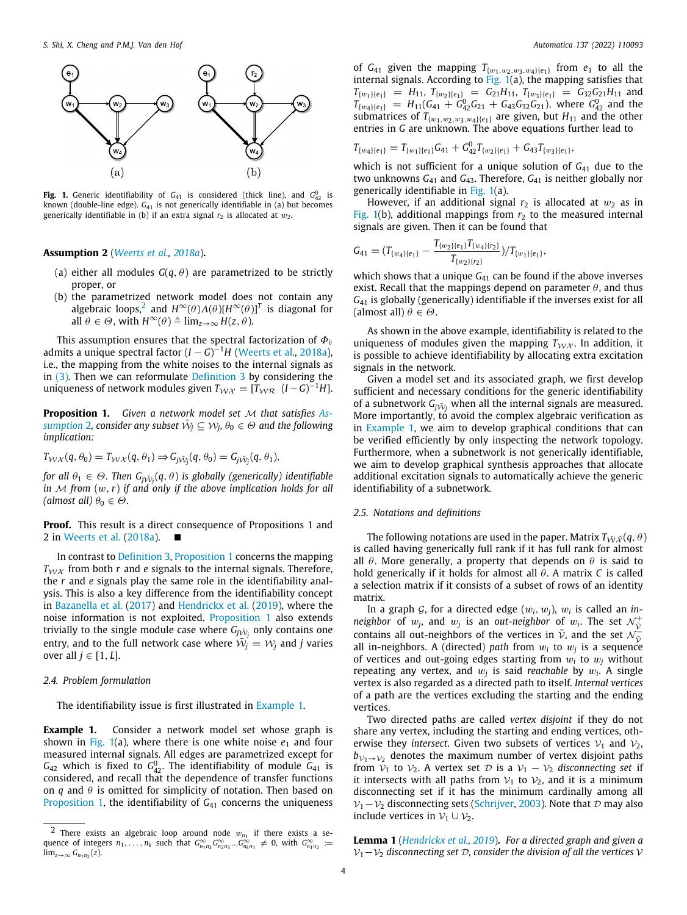

<span id="page-3-3"></span>**Fig. 1.** Generic identifiability of  $G_{41}$  is considered (thick line), and  $G_{42}^0$  is known (double-line edge).  $G_{41}$  is not generically identifiable in (a) but becomes generically identifiable in (b) if an extra signal  $r_2$  is allocated at  $w_2$ .

# **Assumption 2** (*[Weerts et al.,](#page-13-7) [2018a](#page-13-7)*)**.**

- (a) either all modules  $G(q, \theta)$  are parametrized to be strictly proper, or
- <span id="page-3-0"></span>(b) the parametrized network model does not contain any algebraic loops,<sup>[2](#page-3-0)</sup> and  $H^{\infty}(\theta) \Lambda(\theta)[H^{\infty}(\theta)]^T$  is diagonal for all  $\theta \in \Theta$ , with  $H^{\infty}(\theta) \triangleq \lim_{z \to \infty} H(z, \theta)$ .

This assumption ensures that the spectral factorization of  $\Phi_{\bar{v}}$ admits a unique spectral factor (*I* − *G*) <sup>−</sup><sup>1</sup>*H* ([Weerts et al.,](#page-13-7) [2018a\)](#page-13-7), i.e., the mapping from the white noises to the internal signals as in [\(3](#page-2-0)). Then we can reformulate [Definition](#page-2-3) [3](#page-2-3) by considering the uniqueness of network modules given  $T_{\mathcal{W}\mathcal{X}} = [T_{\mathcal{W}\mathcal{R}} \ (I - G)^{-1}H]$ .

<span id="page-3-1"></span>**Proposition 1.** *Given a network model set* M *that satisfies [As](#page-2-4)* $s$ *umption [2](#page-2-4), consider any subset*  $\tilde{W}_j \subseteq W_j$ *,*  $\theta_0 \in \Theta$  *and the following implication:*

$$
T_{\mathcal{W}\mathcal{X}}(q,\theta_0)=T_{\mathcal{W}\mathcal{X}}(q,\theta_1)\Rightarrow G_{j\bar{\mathcal{W}}_j}(q,\theta_0)=G_{j\bar{\mathcal{W}}_j}(q,\theta_1),
$$

*for all*  $\theta_1 \in \Theta$ . Then  $G_{j\tilde{\mathcal{W}}_j}(q,\theta)$  is globally (generically) identifiable *in*  $M$  *from*  $(w, r)$  *if and only if the above implication holds for all (almost all)*  $\theta_0 \in \Theta$ .

**Proof.** This result is a direct consequence of Propositions 1 and 2 in [Weerts et al.](#page-13-7) ([2018a](#page-13-7)). ■

In contrast to [Definition](#page-2-3) [3](#page-2-3), [Proposition](#page-3-1) [1](#page-3-1) concerns the mapping  $T_{\mathcal{W}X}$  from both *r* and *e* signals to the internal signals. Therefore, the *r* and *e* signals play the same role in the identifiability analysis. This is also a key difference from the identifiability concept in [Bazanella et al.](#page-12-20) [\(2017](#page-12-20)) and [Hendrickx et al.](#page-12-21) ([2019](#page-12-21)), where the noise information is not exploited. [Proposition](#page-3-1) [1](#page-3-1) also extends trivially to the single module case where  $G_{j\bar{\cal W}_{j}}$  only contains one entry, and to the full network case where  $\bar{\mathcal{W}}_j = \mathcal{W}_j$  and *j* varies over all  $j \in [1, L]$ .

# *2.4. Problem formulation*

<span id="page-3-2"></span>The identifiability issue is first illustrated in [Example](#page-3-2) [1.](#page-3-2)

**Example 1.** Consider a network model set whose graph is shown in [Fig.](#page-3-3) [1](#page-3-3)(a), where there is one white noise  $e_1$  and four measured internal signals. All edges are parametrized except for  $G_{42}$  which is fixed to  $G_{42}^0$ . The identifiability of module  $G_{41}$  is considered, and recall that the dependence of transfer functions on  $q$  and  $\theta$  is omitted for simplicity of notation. Then based on [Proposition](#page-3-1) [1,](#page-3-1) the identifiability of  $G_{41}$  concerns the uniqueness

of  $G_{41}$  given the mapping  $T_{\{w_1,w_2,w_3,w_4\}\{e_1\}}$  from  $e_1$  to all the internal signals. According to [Fig.](#page-3-3) [1](#page-3-3)(a), the mapping satisfies that  $T_{\{w_1\}\{e_1\}} = H_{11}$ ,  $T_{\{w_2\}\{e_1\}} = G_{21}H_{11}$ ,  $T_{\{w_3\}\{e_1\}} = G_{32}G_{21}H_{11}$  and  $T_{\{w_4\}\{e_1\}} = H_{11}(G_{41} + G_{42}^0 G_{21} + G_{43} G_{32} G_{21}),$  where  $G_{42}^0$  and the submatrices of  $T_{\{w_1,w_2,w_3,w_4\}\{e_1\}}$  are given, but  $H_{11}$  and the other entries in *G* are unknown. The above equations further lead to

$$
T_{\{w_4\}\{e_1\}} = T_{\{w_1\}\{e_1\}} G_{41} + G_{42}^0 T_{\{w_2\}\{e_1\}} + G_{43} T_{\{w_3\}\{e_1\}},
$$

which is not sufficient for a unique solution of *G*<sup>41</sup> due to the two unknowns *G*<sup>41</sup> and *G*43. Therefore, *G*<sup>41</sup> is neither globally nor generically identifiable in [Fig.](#page-3-3) [1\(](#page-3-3)a).

However, if an additional signal  $r<sub>2</sub>$  is allocated at  $w<sub>2</sub>$  as in [Fig.](#page-3-3) [1\(](#page-3-3)b), additional mappings from  $r_2$  to the measured internal signals are given. Then it can be found that

$$
G_{41} = (T_{\{w_4\}\{e_1\}} - \frac{T_{\{w_2\}\{e_1\}} T_{\{w_4\}\{r_2\}}}{T_{\{w_2\}\{r_2\}}})/T_{\{w_1\}\{e_1\}},
$$

which shows that a unique *G*<sub>41</sub> can be found if the above inverses exist. Recall that the mappings depend on parameter  $\theta$ , and thus *G*<sup>41</sup> is globally (generically) identifiable if the inverses exist for all (almost all)  $\theta \in \Theta$ .

As shown in the above example, identifiability is related to the uniqueness of modules given the mapping  $T_{WX}$ . In addition, it is possible to achieve identifiability by allocating extra excitation signals in the network.

Given a model set and its associated graph, we first develop sufficient and necessary conditions for the generic identifiability of a subnetwork  $G_{j\tilde{\mathcal{W}}_{j}}$  when all the internal signals are measured. More importantly, to avoid the complex algebraic verification as in [Example](#page-3-2) [1](#page-3-2), we aim to develop graphical conditions that can be verified efficiently by only inspecting the network topology. Furthermore, when a subnetwork is not generically identifiable, we aim to develop graphical synthesis approaches that allocate additional excitation signals to automatically achieve the generic identifiability of a subnetwork.

### *2.5. Notations and definitions*

<span id="page-3-4"></span>The following notations are used in the paper. Matrix  $T_{\bar{W}\bar{\mathcal{X}}}(q,\theta)$ is called having generically full rank if it has full rank for almost all  $\theta$ . More generally, a property that depends on  $\theta$  is said to hold generically if it holds for almost all θ. A matrix *C* is called a selection matrix if it consists of a subset of rows of an identity matrix.

In a graph  $G$ , for a directed edge  $(w_i, w_j)$ ,  $w_i$  is called an *inneighbor* of  $w_j$ , and  $w_j$  is an *out-neighbor* of  $w_i$ . The set  $\mathcal{N}_{\tilde{\mathcal{V}}}^+$ contains all out-neighbors of the vertices in  $\bar{v}$ , and the set  $\mathcal{N}_{\bar{v}}$ all in-neighbors. A (directed) *path* from  $w_i$  to  $w_j$  is a sequence of vertices and out-going edges starting from  $w_i$  to  $w_j$  without repeating any vertex, and  $w_j$  is said *reachable* by  $w_i$ . A single vertex is also regarded as a directed path to itself. *Internal vertices* of a path are the vertices excluding the starting and the ending vertices.

Two directed paths are called *vertex disjoint* if they do not share any vertex, including the starting and ending vertices, otherwise they *intersect*. Given two subsets of vertices  $V_1$  and  $V_2$ ,  $b_{\mathcal{V}_1\rightarrow\mathcal{V}_2}$  denotes the maximum number of vertex disjoint paths from  $V_1$  to  $V_2$ . A vertex set  $D$  is a  $V_1 - V_2$  *disconnecting set* if it intersects with all paths from  $V_1$  to  $V_2$ , and it is a minimum disconnecting set if it has the minimum cardinally among all  $V_1-V_2$  disconnecting sets ([Schrijver,](#page-12-28) [2003](#page-12-28)). Note that D may also include vertices in  $V_1$  ∪  $V_2$ .

<span id="page-3-5"></span>**Lemma 1** (*[Hendrickx et al.](#page-12-21), [2019](#page-12-21)*)**.** *For a directed graph and given a* V1−V<sup>2</sup> *disconnecting set* D*, consider the division of all the vertices* V

 $2$  There exists an algebraic loop around node  $w_{n_1}$  if there exists a sequence of integers  $n_1, \ldots, n_k$  such that  $G_{n_1n_2}^{\infty} G_{n_2n_3}^{\infty} \ldots G_{n_kn_1}^{\infty} \neq 0$ , with  $G_{n_1n_2}^{\infty} :=$  $\lim_{z\to\infty} G_{n_1n_2}(z)$ .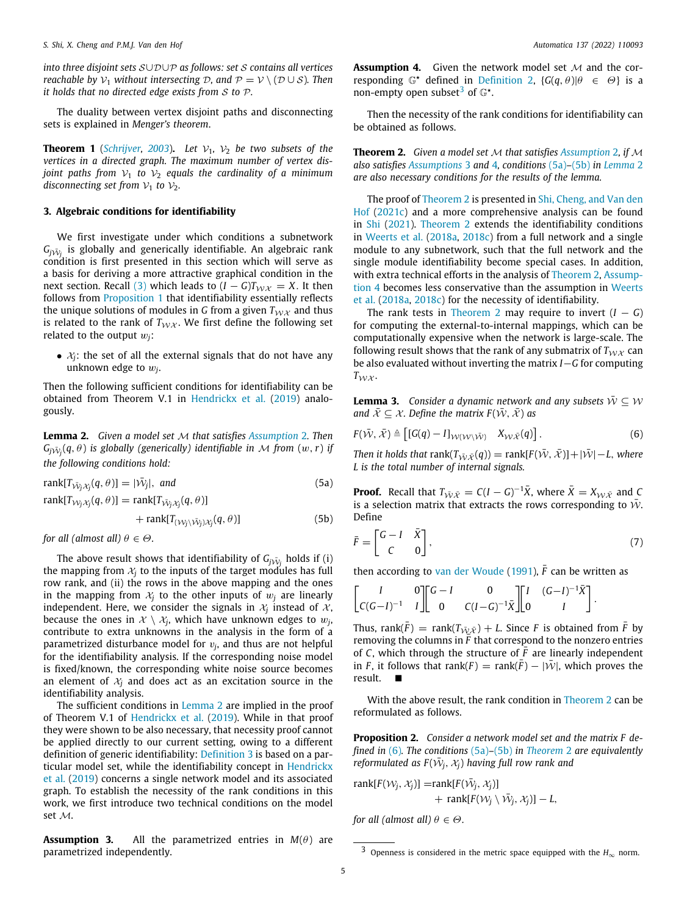*into three disjoint sets* S∪D∪P *as follows: set* S *contains all vertices reachable by*  $V_1$  *without intersecting*  $D$ *, and*  $P = V \setminus (D \cup S)$ *. Then it holds that no directed edge exists from* S *to* P*.*

The duality between vertex disjoint paths and disconnecting sets is explained in *Menger's theorem*.

**Theorem 1** (*[Schrijver](#page-12-28), [2003](#page-12-28)*). Let  $V_1$ ,  $V_2$  be two subsets of the *vertices in a directed graph. The maximum number of vertex disjoint paths from*  $V_1$  *to*  $V_2$  *equals the cardinality of a minimum disconnecting set from*  $V_1$  *to*  $V_2$ *.* 

## **3. Algebraic conditions for identifiability**

<span id="page-4-0"></span>We first investigate under which conditions a subnetwork  $G_{j\bar{\mathcal{W}}_{j}}$  is globally and generically identifiable. An algebraic rank condition is first presented in this section which will serve as a basis for deriving a more attractive graphical condition in the next section. Recall [\(3\)](#page-2-0) which leads to  $(I - G)T_{WX} = X$ . It then follows from [Proposition](#page-3-1) [1](#page-3-1) that identifiability essentially reflects the unique solutions of modules in *G* from a given  $T_{\mathcal{W}X}$  and thus is related to the rank of  $T_{\mathcal{W}\mathcal{X}}$ . We first define the following set related to the output w*j*:

•  $\mathcal{X}_i$ : the set of all the external signals that do not have any unknown edge to w*<sup>j</sup>* .

Then the following sufficient conditions for identifiability can be obtained from Theorem V.1 in [Hendrickx et al.](#page-12-21) ([2019](#page-12-21)) analogously.

<span id="page-4-2"></span>**Lemma 2.** *Given a model set* M *that satisfies [Assumption](#page-2-4)* [2](#page-2-4)*. Then*  $G_{j\tilde{\mathcal{W}}_{j}}(q,\theta)$  is globally (generically) identifiable in  $\mathcal M$  from  $(w,r)$  if *the following conditions hold:*

$$
rank[T_{\tilde{\mathcal{N}}_j\mathcal{X}_j}(q,\theta)] = |\tilde{\mathcal{W}}_j|, \text{ and}
$$
\n(5a)

 $\text{rank}[T_{\mathcal{W}_j\mathcal{X}_j}(q,\theta)] = \text{rank}[T_{\bar{\mathcal{W}}_j\mathcal{X}_j}(q,\theta)]$ 

$$
+\operatorname{rank}[T_{(\mathcal{W}_j \setminus \bar{\mathcal{W}}_j) \mathcal{X}_j}(q, \theta)] \tag{5b}
$$

*for all (almost all)*  $\theta \in \Theta$ *.* 

The above result shows that identifiability of  $G_{j\bar{\mathcal{W}}_j}$  holds if (i) the mapping from  $x_j$  to the inputs of the target modules has full row rank, and (ii) the rows in the above mapping and the ones in the mapping from  $\mathcal{X}_i$  to the other inputs of  $w_i$  are linearly independent. Here, we consider the signals in  $\mathcal{X}_j$  instead of  $\mathcal{X},$ because the ones in  $\mathcal{X}\setminus\mathcal{X}_j$ , which have unknown edges to  $w_j,$ contribute to extra unknowns in the analysis in the form of a parametrized disturbance model for v*<sup>j</sup>* , and thus are not helpful for the identifiability analysis. If the corresponding noise model is fixed/known, the corresponding white noise source becomes an element of  $x_j$  and does act as an excitation source in the identifiability analysis.

The sufficient conditions in [Lemma](#page-4-2) [2](#page-4-2) are implied in the proof of Theorem V.1 of [Hendrickx et al.](#page-12-21) [\(2019\)](#page-12-21). While in that proof they were shown to be also necessary, that necessity proof cannot be applied directly to our current setting, owing to a different definition of generic identifiability: [Definition](#page-2-3) [3](#page-2-3) is based on a particular model set, while the identifiability concept in [Hendrickx](#page-12-21) [et al.](#page-12-21) ([2019\)](#page-12-21) concerns a single network model and its associated graph. To establish the necessity of the rank conditions in this work, we first introduce two technical conditions on the model set M.

<span id="page-4-4"></span><span id="page-4-1"></span>**Assumption 3.** All the parametrized entries in  $M(\theta)$  are parametrized independently.

**Assumption 4.** Given the network model set  $M$  and the corresponding  $\mathbb{G}^*$  defined in [Definition](#page-2-1) [2](#page-2-1),  $\{G(q, \theta)|\theta \in \Theta\}$  is a non-empty open subset<sup>[3](#page-4-3)</sup> of  $\mathbb{G}^*$ .

<span id="page-4-10"></span><span id="page-4-3"></span>Then the necessity of the rank conditions for identifiability can be obtained as follows.

<span id="page-4-7"></span>**Theorem 2.** *Given a model set* M *that satisfies [Assumption](#page-2-4)* [2](#page-2-4)*, if* M *also satisfies [Assumptions](#page-4-4)* [3](#page-4-4) *and* [4](#page-4-1)*, conditions* [\(5a](#page-4-5))*–*[\(5b\)](#page-4-6) *in [Lemma](#page-4-2)* [2](#page-4-2) *are also necessary conditions for the results of the lemma.*

The proof of [Theorem](#page-4-7) [2](#page-4-7) is presented in [Shi, Cheng, and Van den](#page-12-29) [Hof](#page-12-29) [\(2021c](#page-12-29)) and a more comprehensive analysis can be found in [Shi](#page-12-30) ([2021\)](#page-12-30). [Theorem](#page-4-7) [2](#page-4-7) extends the identifiability conditions in [Weerts et al.](#page-13-7) ([2018a](#page-13-7), [2018c\)](#page-13-9) from a full network and a single module to any subnetwork, such that the full network and the single module identifiability become special cases. In addition, with extra technical efforts in the analysis of [Theorem](#page-4-7) [2,](#page-4-7) [Assump](#page-4-1)[tion](#page-4-1) [4](#page-4-1) becomes less conservative than the assumption in [Weerts](#page-13-7) [et al.](#page-13-7) [\(2018a,](#page-13-7) [2018c\)](#page-13-9) for the necessity of identifiability.

The rank tests in [Theorem](#page-4-7) [2](#page-4-7) may require to invert  $(I - G)$ for computing the external-to-internal mappings, which can be computationally expensive when the network is large-scale. The following result shows that the rank of any submatrix of  $T_{WX}$  can be also evaluated without inverting the matrix *I*−*G* for computing  $T_{\mathcal{W}\mathcal{X}}$ .

<span id="page-4-12"></span>**Lemma 3.** *Consider a dynamic network and any subsets*  $\overline{W} \subseteq W$ *and*  $\bar{\mathcal{X}} \subseteq \mathcal{X}$ *. Define the matrix F*( $\bar{\mathcal{W}}$ *,*  $\bar{\mathcal{X}}$ *) as* 

<span id="page-4-8"></span>
$$
F(\bar{\mathcal{W}}, \bar{\mathcal{X}}) \triangleq \left[ [G(q) - I]_{\mathcal{W}(\mathcal{W}\backslash \bar{\mathcal{W}})} \quad X_{\mathcal{W}\bar{\mathcal{X}}}(q) \right]. \tag{6}
$$

*Then it holds that* rank( $T_{\bar{W}\bar{X}}(q)$ ) = rank[ $F(\bar{W}, \bar{X})$ ] +  $|\bar{W}|$  - *L*, *where L is the total number of internal signals.*

<span id="page-4-5"></span>**Proof.** Recall that  $T_{\tilde{W}\tilde{X}} = C(I - G)^{-1}\overline{X}$ , where  $\overline{X} = X_{\mathcal{W}\tilde{X}}$  and *C* is a selection matrix that extracts the rows corresponding to  $\bar{W}$ . Define

<span id="page-4-11"></span><span id="page-4-6"></span>
$$
\bar{F} = \begin{bmatrix} G - I & \bar{X} \\ C & 0 \end{bmatrix},\tag{7}
$$

then according to [van der Woude](#page-13-10) ([1991](#page-13-10)),  $\bar{F}$  can be written as

$$
\begin{bmatrix} I & 0 \\ C(G-I)^{-1} & I \end{bmatrix} \begin{bmatrix} G-I & 0 \\ 0 & C(I-G)^{-1}\bar{X} \end{bmatrix} \begin{bmatrix} I & (G-I)^{-1}\bar{X} \\ 0 & I \end{bmatrix}.
$$

Thus, rank( $\bar{F}$ ) = rank( $T_{\bar{W}\bar{X}}$ ) + *L*. Since *F* is obtained from  $\bar{F}$  by removing the columns in F that correspond to the nonzero entries of *C*, which through the structure of  $\bar{F}$  are linearly independent in *F*, it follows that rank(*F*) = rank(*F*) –  $|\bar{W}|$ , which proves the result. ■

With the above result, the rank condition in [Theorem](#page-4-7) [2](#page-4-7) can be reformulated as follows.

<span id="page-4-9"></span>**Proposition 2.** *Consider a network model set and the matrix F defined in* [\(6](#page-4-8))*. The conditions* ([5a\)](#page-4-5)*–*([5b](#page-4-6)) *in [Theorem](#page-4-7)* [2](#page-4-7) *are equivalently reformulated as*  $F(\bar{W}_j, X_j)$  *having full row rank and* 

$$
rank[F(W_j, X_j)] = rank[F(\bar{W}_j, X_j)] + rank[F(W_j \setminus \bar{W}_j, X_j)] - L,
$$

*for all (almost all)*  $\theta \in \Theta$ *.* 

<sup>&</sup>lt;sup>3</sup> Openness is considered in the metric space equipped with the  $H_{\infty}$  norm.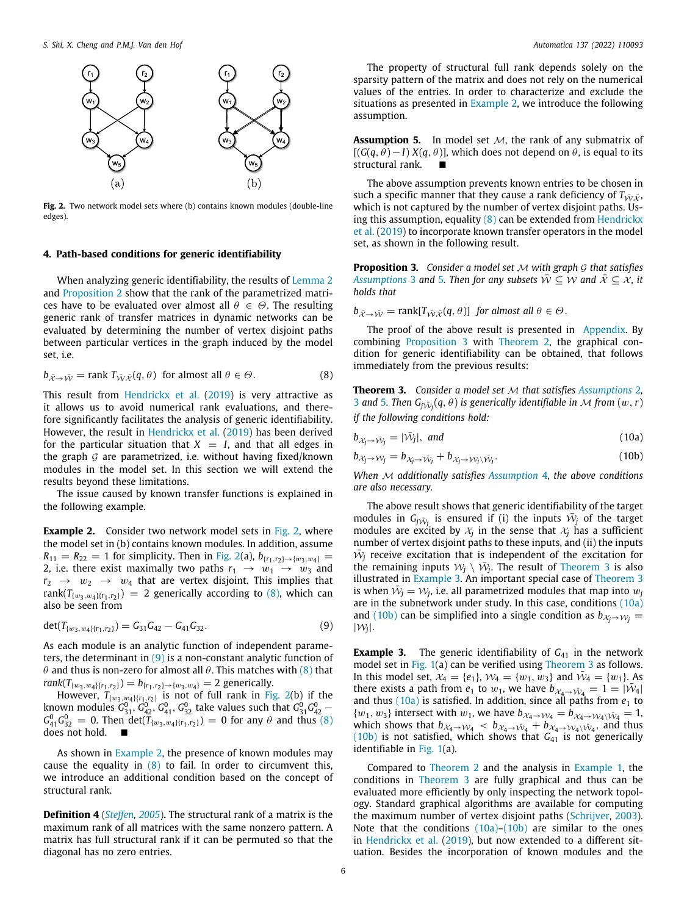

<span id="page-5-1"></span>Fig. 2. Two network model sets where (b) contains known modules (double-line edges).

# **4. Path-based conditions for generic identifiability**

<span id="page-5-0"></span>When analyzing generic identifiability, the results of [Lemma](#page-4-2) [2](#page-4-2) and [Proposition](#page-4-9) [2](#page-4-9) show that the rank of the parametrized matrices have to be evaluated over almost all  $\theta \in \Theta$ . The resulting generic rank of transfer matrices in dynamic networks can be evaluated by determining the number of vertex disjoint paths between particular vertices in the graph induced by the model set, i.e.

$$
b_{\bar{X}\to\bar{W}} = \text{rank } T_{\bar{W}\bar{X}}(q,\theta) \text{ for almost all } \theta \in \Theta.
$$
 (8)

This result from [Hendrickx et al.](#page-12-21) [\(2019\)](#page-12-21) is very attractive as it allows us to avoid numerical rank evaluations, and therefore significantly facilitates the analysis of generic identifiability. However, the result in [Hendrickx et al.](#page-12-21) ([2019\)](#page-12-21) has been derived for the particular situation that  $X = I$ , and that all edges in the graph  $G$  are parametrized, i.e. without having fixed/known modules in the model set. In this section we will extend the results beyond these limitations.

The issue caused by known transfer functions is explained in the following example.

<span id="page-5-4"></span>**Example [2](#page-5-1).** Consider two network model sets in [Fig.](#page-5-1) 2, where the model set in (b) contains known modules. In addition, assume  $R_{11} = R_{22} = 1$  for simplicity. Then in [Fig.](#page-5-1) [2\(](#page-5-1)a),  $b_{\{r_1, r_2\} \to \{w_3, w_4\}} =$ 2, i.e. there exist maximally two paths  $r_1 \rightarrow w_1 \rightarrow w_3$  and  $r_2 \rightarrow w_2 \rightarrow w_4$  that are vertex disjoint. This implies that rank( $T_{\{w_3,w_4\}\{r_1,r_2\}}$ ) = 2 generically according to ([8](#page-5-2)), which can also be seen from

$$
\det(T_{\{w_3, w_4\}\{r_1, r_2\}}) = G_{31}G_{42} - G_{41}G_{32}.
$$
\n(9)

As each module is an analytic function of independent parameters, the determinant in  $(9)$  $(9)$  is a non-constant analytic function of θ and thus is non-zero for almost all θ. This matches with [\(8\)](#page-5-2) that  $rank(T_{\{w_3,w_4\}\{r_1,r_2\}}) = b_{\{r_1,r_2\} \rightarrow \{w_3,w_4\}} = 2$  generically.

However,  $T_{\{w_3,w_4\}\{r_1,r_2\}}$  is not of full rank in [Fig.](#page-5-1) [2\(](#page-5-1)b) if the known modules  $G_{31}^0$ ,  $G_{42}^0$ ,  $G_{41}^0$ ,  $G_{32}^0$  take values such that  $G_{31}^0G_{42}^0$  –  $G_{41}^{0}G_{32}^{0} = 0$ . Then det( $T_{\{w_3,w_4\}\{r_1,r_2\}}$ ) = 0 for any  $\theta$  and thus ([8\)](#page-5-2) does not hold. ■

As shown in [Example](#page-5-4) [2,](#page-5-4) the presence of known modules may cause the equality in  $(8)$  $(8)$  to fail. In order to circumvent this, we introduce an additional condition based on the concept of structural rank.

**Definition 4** (*[Steffen](#page-12-31), [2005](#page-12-31)*)**.** The structural rank of a matrix is the maximum rank of all matrices with the same nonzero pattern. A matrix has full structural rank if it can be permuted so that the diagonal has no zero entries.

The property of structural full rank depends solely on the sparsity pattern of the matrix and does not rely on the numerical values of the entries. In order to characterize and exclude the situations as presented in [Example](#page-5-4) [2](#page-5-4), we introduce the following assumption.

<span id="page-5-5"></span>**Assumption 5.** In model set M, the rank of any submatrix of  $[(G(q, \theta) - I) X(q, \theta)]$ , which does not depend on  $\theta$ , is equal to its structural rank.

The above assumption prevents known entries to be chosen in such a specific manner that they cause a rank deficiency of  $T_{\tilde{W}\tilde{X}}$ , which is not captured by the number of vertex disjoint paths. Using this assumption, equality  $(8)$  $(8)$  can be extended from [Hendrickx](#page-12-21) [et al.](#page-12-21) ([2019](#page-12-21)) to incorporate known transfer operators in the model set, as shown in the following result.

<span id="page-5-6"></span>**Proposition 3.** *Consider a model set* M *with graph* G *that satisfies [Assumptions](#page-4-4)* [3](#page-4-4) *and* [5](#page-5-5)*. Then for any subsets*  $\overline{W} \subseteq W$  *and*  $\overline{X} \subseteq X$ *, it holds that*

 $b_{\bar{x}\to\bar{W}} = \text{rank}[T_{\bar{W}\bar{X}}(q,\theta)]$  *for almost all*  $\theta \in \Theta$ .

The proof of the above result is presented in [Appendix.](#page-9-1) By combining [Proposition](#page-5-6) [3](#page-5-6) with [Theorem](#page-4-7) [2](#page-4-7), the graphical condition for generic identifiability can be obtained, that follows immediately from the previous results:

<span id="page-5-7"></span><span id="page-5-2"></span>**Theorem 3.** *Consider a model set* M *that satisfies [Assumptions](#page-2-4)* [2](#page-2-4)*,* [3](#page-4-4) and [5](#page-5-5). Then  $G_j$  $\bar{w}_j$  $(q, \theta)$  is generically identifiable in  $\mathcal M$  from  $(w, r)$ *if the following conditions hold:*

<span id="page-5-9"></span>
$$
b_{\mathcal{X}_j \to \bar{\mathcal{W}}_j} = |\bar{\mathcal{W}}_j|, \text{ and } (10a)
$$

<span id="page-5-10"></span>
$$
b_{\chi_j \to \mathcal{W}_j} = b_{\chi_j \to \bar{\mathcal{W}}_j} + b_{\chi_j \to \mathcal{W}_j \setminus \bar{\mathcal{W}}_j}.
$$
 (10b)

*When* M *additionally satisfies [Assumption](#page-4-1)* [4](#page-4-1)*, the above conditions are also necessary.*

The above result shows that generic identifiability of the target modules in  $G_{j_1,j_2}$  is ensured if (i) the inputs  $\bar{W}_j$  of the target modules are excited by  $\mathcal{X}_j$  in the sense that  $\mathcal{X}_j$  has a sufficient number of vertex disjoint paths to these inputs, and (ii) the inputs  $\bar{W}_j$  receive excitation that is independent of the excitation for the remaining inputs  $W_j \setminus \bar{W}_j$ . The result of [Theorem](#page-5-7) [3](#page-5-7) is also illustrated in [Example](#page-5-8) [3](#page-5-8). An important special case of [Theorem](#page-5-7) [3](#page-5-7) is when  $\bar{W}_j = W_j$ , i.e. all parametrized modules that map into  $w_j$ are in the subnetwork under study. In this case, conditions ([10a\)](#page-5-9) and ([10b](#page-5-10)) can be simplified into a single condition as  $b_{\chi_i \to W_i}$  =  $|\mathcal{W}_j|$ .

<span id="page-5-8"></span><span id="page-5-3"></span>**Example 3.** The generic identifiability of  $G_{41}$  in the network model set in [Fig.](#page-3-3) [1\(](#page-3-3)a) can be verified using [Theorem](#page-5-7) [3](#page-5-7) as follows. In this model set,  $\mathcal{X}_4 = \{e_1\}$ ,  $\mathcal{W}_4 = \{w_1, w_3\}$  and  $\bar{\mathcal{W}}_4 = \{w_1\}$ . As there exists a path from  $e_1$  to  $w_1$ , we have  $b_{\mathcal{X}_4 \to \bar{\mathcal{W}}_4} = 1 = |\bar{\mathcal{W}}_4|$ and thus  $(10a)$  $(10a)$  is satisfied. In addition, since all paths from  $e_1$  to  $\{w_1, w_3\}$  intersect with  $w_1$ , we have  $b_{\mathcal{X}_4 \to \mathcal{W}_4} = b_{\mathcal{X}_4 \to \mathcal{W}_4 \setminus \bar{\mathcal{W}}_4} = 1$ , which shows that  $b_{\chi_4 \to \chi_{4}} < b_{\chi_4 \to \bar{\chi}_4} + b_{\chi_4 \to \chi_{4} \to \bar{\chi}_4}$  and thus  $(10b)$  $(10b)$  $(10b)$  is not satisfied, which shows that  $G_{41}$  is not generically identifiable in [Fig.](#page-3-3) [1\(](#page-3-3)a).

Compared to [Theorem](#page-4-7) [2](#page-4-7) and the analysis in [Example](#page-3-2) [1,](#page-3-2) the conditions in [Theorem](#page-5-7) [3](#page-5-7) are fully graphical and thus can be evaluated more efficiently by only inspecting the network topology. Standard graphical algorithms are available for computing the maximum number of vertex disjoint paths ([Schrijver,](#page-12-28) [2003\)](#page-12-28). Note that the conditions  $(10a)$ – $(10b)$  $(10b)$  $(10b)$  are similar to the ones in [Hendrickx et al.](#page-12-21) [\(2019\)](#page-12-21), but now extended to a different situation. Besides the incorporation of known modules and the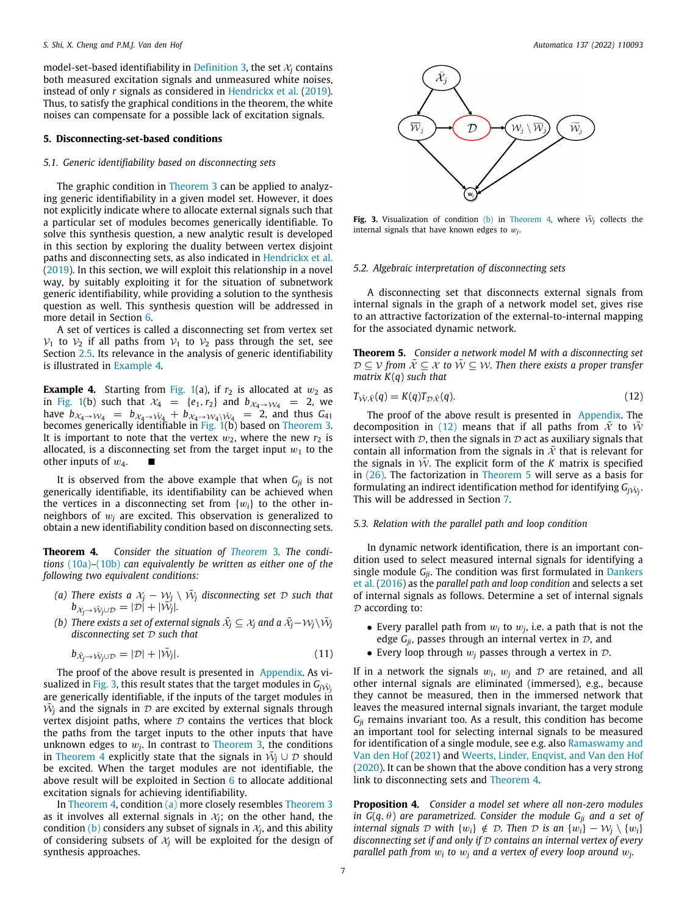model-set-based identifiability in [Definition](#page-2-3) [3](#page-2-3), the set  $\mathcal{X}_i$  contains both measured excitation signals and unmeasured white noises, instead of only *r* signals as considered in [Hendrickx et al.](#page-12-21) [\(2019\)](#page-12-21). Thus, to satisfy the graphical conditions in the theorem, the white noises can compensate for a possible lack of excitation signals.

#### **5. Disconnecting-set-based conditions**

# <span id="page-6-0"></span>*5.1. Generic identifiability based on disconnecting sets*

The graphic condition in [Theorem](#page-5-7) [3](#page-5-7) can be applied to analyzing generic identifiability in a given model set. However, it does not explicitly indicate where to allocate external signals such that a particular set of modules becomes generically identifiable. To solve this synthesis question, a new analytic result is developed in this section by exploring the duality between vertex disjoint paths and disconnecting sets, as also indicated in [Hendrickx et al.](#page-12-21) ([2019\)](#page-12-21). In this section, we will exploit this relationship in a novel way, by suitably exploiting it for the situation of subnetwork generic identifiability, while providing a solution to the synthesis question as well. This synthesis question will be addressed in more detail in Section [6.](#page-7-0)

A set of vertices is called a disconnecting set from vertex set  $V_1$  to  $V_2$  if all paths from  $V_1$  to  $V_2$  pass through the set, see Section [2.5.](#page-3-4) Its relevance in the analysis of generic identifiability is illustrated in [Example](#page-6-1) [4](#page-6-1).

<span id="page-6-1"></span>**Example 4.** Starting from [Fig.](#page-3-3) [1](#page-3-3)(a), if  $r_2$  is allocated at  $w_2$  as in [Fig.](#page-3-3) [1](#page-3-3)(b) such that  $\mathcal{X}_4 = \{e_1, r_2\}$  and  $b_{\mathcal{X}_4 \rightarrow \mathcal{W}_4} = 2$ , we have  $b_{\mathcal{X}_4 \to \mathcal{W}_4} = b_{\mathcal{X}_4 \to \tilde{\mathcal{W}}_4} + b_{\mathcal{X}_4 \to \mathcal{W}_4 \setminus \tilde{\mathcal{W}}_4} = 2$ , and thus  $G_{41}$  becomes generically identifiable in [Fig.](#page-3-3) [1\(](#page-3-3)b) based on [Theorem](#page-5-7) [3.](#page-5-7) It is important to note that the vertex  $w_2$ , where the new  $r_2$  is allocated, is a disconnecting set from the target input  $w_1$  to the other inputs of  $w_4$ .

It is observed from the above example that when *Gji* is not generically identifiable, its identifiability can be achieved when the vertices in a disconnecting set from  $\{w_i\}$  to the other inneighbors of w*<sup>j</sup>* are excited. This observation is generalized to obtain a new identifiability condition based on disconnecting sets.

**Theorem 4.** *Consider the situation of [Theorem](#page-5-7)* [3](#page-5-7)*. The conditions* ([10a\)](#page-5-9)*–*([10b](#page-5-10)) *can equivalently be written as either one of the following two equivalent conditions:*

- <span id="page-6-4"></span>*(a)* There exists a  $x_j - w_j \setminus \bar{w}_j$  disconnecting set  $\mathcal D$  such that  $b_{\mathcal{X}_{j}\rightarrow\bar{\mathcal{W}}_{j}\cup\mathcal{D}}=|\mathcal{D}|+|\bar{\mathcal{W}}_{j}|.$
- <span id="page-6-5"></span> $\bar{\mathcal{A}}_j$   $\subseteq$   $\mathcal{X}_j$  and a  $\bar{\mathcal{X}}_j - \mathcal{W}_j \backslash \bar{\mathcal{W}}_j$ *disconnecting set* D *such that*

$$
b_{\bar{\mathcal{X}}_j \to \bar{\mathcal{W}}_j \cup \mathcal{D}} = |\mathcal{D}| + |\bar{\mathcal{W}}_j|.
$$
\n(11)

The proof of the above result is presented in [Appendix](#page-9-1). As vi-sualized in [Fig.](#page-6-2) [3,](#page-6-2) this result states that the target modules in  $G_{j\tilde{\mathcal{W}}_j}$ are generically identifiable, if the inputs of the target modules in  $\bar{\mathcal{W}}_j$  and the signals in  $\mathcal D$  are excited by external signals through vertex disjoint paths, where  $D$  contains the vertices that block the paths from the target inputs to the other inputs that have unknown edges to  $w_j$ . In contrast to [Theorem](#page-5-7) [3](#page-5-7), the conditions in [Theorem](#page-6-3) [4](#page-6-3) explicitly state that the signals in  $\bar{\mathcal{W}}_j \cup \mathcal{D}$  should be excited. When the target modules are not identifiable, the above result will be exploited in Section [6](#page-7-0) to allocate additional excitation signals for achieving identifiability.

In [Theorem](#page-6-3) [4](#page-6-3), condition [\(a\)](#page-6-4) more closely resembles [Theorem](#page-5-7) [3](#page-5-7) as it involves all external signals in  $\mathcal{X}_i$ ; on the other hand, the condition [\(b\)](#page-6-5) considers any subset of signals in  $\mathcal{X}_{j}$ , and this ability of considering subsets of  $x_i$  will be exploited for the design of synthesis approaches.



<span id="page-6-2"></span>**Fig. 3.** Visualization of condition [\(b\)](#page-6-5) in [Theorem](#page-6-3) [4,](#page-6-3) where  $\tilde{W}_i$  collects the internal signals that have known edges to w*<sup>j</sup>* .

#### *5.2. Algebraic interpretation of disconnecting sets*

A disconnecting set that disconnects external signals from internal signals in the graph of a network model set, gives rise to an attractive factorization of the external-to-internal mapping for the associated dynamic network.

<span id="page-6-7"></span>**Theorem 5.** *Consider a network model M with a disconnecting set*  $\mathcal{D} \subseteq \mathcal{V}$  from  $\bar{\mathcal{X}} \subseteq \mathcal{X}$  to  $\bar{\mathcal{W}} \subseteq \mathcal{W}$ . Then there exists a proper transfer *matrix K*(*q*) *such that*

<span id="page-6-6"></span>
$$
T_{\bar{\mathcal{W}}\bar{\mathcal{X}}}(q) = K(q)T_{\mathcal{D}\bar{\mathcal{X}}}(q). \tag{12}
$$

The proof of the above result is presented in [Appendix](#page-9-1). The decomposition in [\(12](#page-6-6)) means that if all paths from  $\overline{X}$  to  $\overline{W}$ intersect with  $\mathcal{D}$ , then the signals in  $\mathcal{D}$  act as auxiliary signals that contain all information from the signals in  $\overline{x}$  that is relevant for the signals in  $\tilde{W}$ . The explicit form of the *K* matrix is specified in ([26](#page-12-32)). The factorization in [Theorem](#page-6-7) [5](#page-6-7) will serve as a basis for formulating an indirect identification method for identifying  $G_{j\tilde{\mathcal{W}}_j}$ . This will be addressed in Section [7.](#page-9-0)

#### <span id="page-6-3"></span>*5.3. Relation with the parallel path and loop condition*

In dynamic network identification, there is an important condition used to select measured internal signals for identifying a single module *Gji*. The condition was first formulated in [Dankers](#page-12-12) [et al.](#page-12-12) ([2016\)](#page-12-12) as the *parallel path and loop condition* and selects a set of internal signals as follows. Determine a set of internal signals  $D$  according to:

- Every parallel path from  $w_i$  to  $w_j$ , i.e. a path that is not the edge  $G_{ii}$ , passes through an internal vertex in  $D$ , and
- Every loop through  $w_i$  passes through a vertex in  $\mathcal{D}$ .

<span id="page-6-8"></span>If in a network the signals  $w_i$ ,  $w_j$  and  $\mathcal D$  are retained, and all other internal signals are eliminated (immersed), e.g., because they cannot be measured, then in the immersed network that leaves the measured internal signals invariant, the target module *Gji* remains invariant too. As a result, this condition has become an important tool for selecting internal signals to be measured for identification of a single module, see e.g. also [Ramaswamy and](#page-12-18) [Van den Hof](#page-12-18) [\(2021\)](#page-12-18) and [Weerts, Linder, Enqvist, and Van den Hof](#page-13-11) ([2020\)](#page-13-11). It can be shown that the above condition has a very strong link to disconnecting sets and [Theorem](#page-6-3) [4.](#page-6-3)

<span id="page-6-9"></span>**Proposition 4.** *Consider a model set where all non-zero modules in*  $G(q, \theta)$  *are parametrized. Consider the module*  $G_{ji}$  *and a set of internal signals*  $D$  *with*  $\{w_i\} \notin D$ *. Then*  $D$  *is an*  $\{w_i\} - W_i \setminus \{w_i\}$ *disconnecting set if and only if* D *contains an internal vertex of every parallel path from*  $w_i$  *to*  $w_j$  *and a vertex of every loop around*  $w_j$ *.*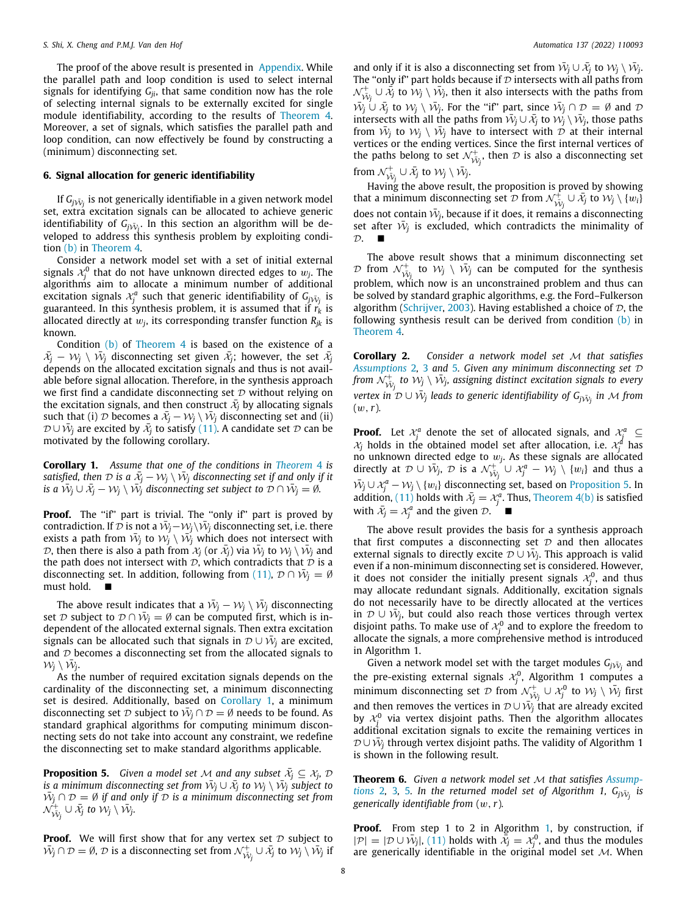The proof of the above result is presented in [Appendix](#page-9-1). While the parallel path and loop condition is used to select internal signals for identifying *Gji*, that same condition now has the role of selecting internal signals to be externally excited for single module identifiability, according to the results of [Theorem](#page-6-3) [4.](#page-6-3) Moreover, a set of signals, which satisfies the parallel path and loop condition, can now effectively be found by constructing a (minimum) disconnecting set.

### **6. Signal allocation for generic identifiability**

<span id="page-7-0"></span>If  $G_{j\bar{\cal W}_{j}}$  is not generically identifiable in a given network model set, extra excitation signals can be allocated to achieve generic identifiability of  $G_{j\tilde{\mathcal{W}}_j}.$  In this section an algorithm will be developed to address this synthesis problem by exploiting condition [\(b\)](#page-6-5) in [Theorem](#page-6-3) [4](#page-6-3).

Consider a network model set with a set of initial external signals  $\mathcal{X}_j^0$  that do not have unknown directed edges to  $w_j.$  The algorithms aim to allocate a minimum number of additional excitation signals  $\mathcal{X}^a_j$  such that generic identifiability of  $G_{j\bar{\mathcal{N}}_j}$  is guaranteed. In this synthesis problem, it is assumed that if  $r_k$  is allocated directly at  $w_j$ , its corresponding transfer function  $R_{jk}$  is known.

Condition  $(b)$  of [Theorem](#page-6-3) [4](#page-6-3) is based on the existence of a  $\bar{\mathcal{X}}_j - \mathcal{W}_j \setminus \bar{\mathcal{W}}_j$  disconnecting set given  $\bar{\mathcal{X}}_j$ ; however, the set  $\bar{\mathcal{X}}_j$ depends on the allocated excitation signals and thus is not available before signal allocation. Therefore, in the synthesis approach we first find a candidate disconnecting set  $D$  without relying on the excitation signals, and then construct  $\bar{x_j}$  by allocating signals such that (i)  $\mathcal D$  becomes a  $\bar{x}_j - \mathcal W_j \setminus \bar{\mathcal W}_j$  disconnecting set and (ii)  $\mathcal{D} \cup \bar{\mathcal{W}}_j$  are excited by  $\bar{\mathcal{X}}_j$  to satisfy  $(11)$ . A candidate set  $\mathcal D$  can be motivated by the following corollary.

<span id="page-7-1"></span>**Corollary 1.** *Assume that one of the conditions in [Theorem](#page-6-3)* [4](#page-6-3) *is* satisfied, then  $\mathcal D$  is a  $\bar{\mathcal X_j}-\mathcal W_j\setminus\bar{\mathcal W_j}$  disconnecting set if and only if it  $\bar{w}_j \cup \bar{x}_j - \mathcal{W}_j \setminus \bar{\mathcal{W}}_j$  disconnecting set subject to  $\mathcal{D} \cap \bar{\mathcal{W}}_j = \emptyset.$ 

**Proof.** The "if" part is trivial. The "only if" part is proved by contradiction. If  $\hat{D}$  is not a  $\hat{W}_j - \hat{W}_j \backslash \hat{W}_j$  disconnecting set, i.e. there exists a path from  $\bar{\mathcal{W}}_j$  to  $\mathcal{W}_j \setminus \bar{\mathcal{W}}_j$  which does not intersect with  $\mathcal{D}$ , then there is also a path from  $\mathcal{X}_j$  (or  $\bar{\mathcal{X}}_j$ ) via  $\bar{\mathcal{W}}_j$  to  $\mathcal{W}_j \setminus \bar{\mathcal{W}}_j$  and the path does not intersect with  $D$ , which contradicts that  $D$  is a disconnecting set. In addition, following from [\(11\)](#page-6-8),  $\mathcal{D} \cap \bar{\mathcal{W}}_j = \emptyset$ must hold. ■

The above result indicates that a  $\bar{\mathcal{W}}_j - \mathcal{W}_j \setminus \bar{\mathcal{W}}_j$  disconnecting set  ${\cal D}$  subject to  ${\cal D} \cap \bar{\cal W}_j = \emptyset$  can be computed first, which is independent of the allocated external signals. Then extra excitation signals can be allocated such that signals in  $\mathcal{D}\cup \tilde{\mathcal{W}}_j$  are excited, and  $D$  becomes a disconnecting set from the allocated signals to  $\mathcal{W}_j \setminus \bar{\mathcal{W}}_j$ .

As the number of required excitation signals depends on the cardinality of the disconnecting set, a minimum disconnecting set is desired. Additionally, based on [Corollary](#page-7-1) [1,](#page-7-1) a minimum disconnecting set  $D$  subject to  $\bar{W}_j \cap D = \emptyset$  needs to be found. As standard graphical algorithms for computing minimum disconnecting sets do not take into account any constraint, we redefine the disconnecting set to make standard algorithms applicable.

**Proposition 5.** Given a model set M and any subset  $\bar{x_j} \subseteq x_j$ ,  $\mathcal{D}$  $i$ *s a minimum disconnecting set from*  $\bar{W}_j \cup \bar{\mathcal{X}}_j$  *to*  $\mathcal{W}_j \setminus \bar{\mathcal{W}}_j$  *subject to*  $\tilde{W}_j \cap \mathcal{D} = \emptyset$  if and only if  $\mathcal D$  is a minimum disconnecting set from  $\mathcal{N}_{\bar{\mathcal{W}}_j}^{\boldsymbol{+}} \cup \bar{\mathcal{X}}_j$  to  $\mathcal{W}_j \setminus \bar{\mathcal{W}}_j$ .

**Proof.** We will first show that for any vertex set  $D$  subject to  $\bar{\mathcal{W}}_j \cap \mathcal{D} = \emptyset$ ,  $\mathcal{D}$  is a disconnecting set from  $\mathcal{N}^+_{\bar{\mathcal{W}}_j} \cup \bar{\mathcal{X}}_j$  to  $\mathcal{W}_j \setminus \bar{\mathcal{W}}_j$  if

and only if it is also a disconnecting set from  $\bar{W}_j \cup \bar{X}_j$  to  $W_j \setminus \bar{W}_j$ . The "only if" part holds because if  $D$  intersects with all paths from  $\mathcal{N}_{\tilde{\mathcal{W}}_j}^+ \cup \tilde{\mathcal{X}}_j$  to  $\mathcal{W}_j \setminus \tilde{\mathcal{W}}_j$ , then it also intersects with the paths from  $\overline{W}_j$  ∪  $\overline{X}_j$  to  $W_j \setminus \overline{W}_j$ . For the "if" part, since  $\overline{W}_j \cap \mathcal{D} = \emptyset$  and  $\mathcal D$ intersects with all the paths from  $\bar{W}_j \cup \bar{\mathcal{X}}_j$  to  $\mathcal{W}_j \setminus \bar{\mathcal{W}}_j$ , those paths from  $\bar{W}_j$  to  $W_j \setminus \bar{W}_j$  have to intersect with  $\tilde{\mathcal{D}}$  at their internal vertices or the ending vertices. Since the first internal vertices of the paths belong to set  $\mathcal{N}_{\mathcal{W}_{j}}^{+}$ , then  $\mathcal{D}$  is also a disconnecting set from  $\mathcal{N}^+_{\bar{\mathcal{W}}_j} \cup \bar{\mathcal{X}}_j$  to  $\mathcal{W}_j \setminus \bar{\mathcal{W}}_j$ .

Having the above result, the proposition is proved by showing that a minimum disconnecting set  $\mathcal{D}$  from  $\mathcal{N}_{\mathcal{W}_j}^{\hat{+}} \cup \bar{\mathcal{X}}_j$  to  $\mathcal{W}_j \setminus \{w_i\}$ does not contain  $\bar{\mathcal{W}}_j$ , because if it does, it remains a disconnecting set after  $\bar{W}_j$  is excluded, which contradicts the minimality of  $\mathcal{D}$ .

The above result shows that a minimum disconnecting set  $\mathcal{D}$  from  $\mathcal{N}_{\tilde{\mathcal{W}}_j}^+$  to  $\mathcal{W}_j \, \setminus \, \tilde{\mathcal{W}}_j$  can be computed for the synthesis problem, which now is an unconstrained problem and thus can be solved by standard graphic algorithms, e.g. the Ford–Fulkerson algorithm ([Schrijver,](#page-12-28) [2003](#page-12-28)). Having established a choice of  $D$ , the following synthesis result can be derived from condition  $(b)$  in [Theorem](#page-6-3) [4](#page-6-3).

<span id="page-7-3"></span>**Corollary 2.** *Consider a network model set* M *that satisfies [Assumptions](#page-2-4)* [2](#page-2-4)*,* [3](#page-4-4) *and* [5](#page-5-5)*. Given any minimum disconnecting set* D from  $\hat{\mathcal{N}}^\pm_{\tilde{\mathcal{W}}^+_j}$  to  $\tilde{\mathcal{W}}_j \setminus \tilde{\mathcal{W}}_j$ , assigning distinct excitation signals to every  $\delta$ *vertex in D*  $\cup$   $\bar{\mathcal{W}}_j$  leads to generic identifiability of  $\mathsf{G}_{j\bar{\mathcal{W}}_j}$  in  $\mathcal M$  from (w,*r*)*.*

**Proof.** Let  $\mathcal{X}_j^a$  denote the set of allocated signals, and  $\mathcal{X}_j^a$   $\subseteq$  $x_j$  holds in the obtained model set after allocation, i.e.  $x_j^d$  has no unknown directed edge to  $w_j$ . As these signals are allocated directly at  $\mathcal{D} \cup \bar{\mathcal{W}}_j$ ,  $\mathcal{D}$  is a  $\mathcal{N}_{\bar{\mathcal{W}}_j}^+ \cup \mathcal{X}_j^a - \mathcal{W}_j \setminus \{w_i\}$  and thus a  $\bar{W}_j$  ∪  $\mathcal{X}_j^a - W_j \setminus \{w_i\}$  disconnecting set, based on [Proposition](#page-7-2) [5.](#page-7-2) In addition, ([11\)](#page-6-8) holds with  $\bar{x}_j = x_j^a$ . Thus, [Theorem](#page-6-3) [4](#page-6-3)[\(b\)](#page-6-5) is satisfied with  $\bar{x}_j = x_j^a$  and the given  $\mathcal{D}$ .

The above result provides the basis for a synthesis approach that first computes a disconnecting set  $D$  and then allocates external signals to directly excite  $\mathcal{D} \cup \bar{\mathcal{W}}_j$ . This approach is valid even if a non-minimum disconnecting set is considered. However, it does not consider the initially present signals  $\mathcal{X}_j^0$ , and thus may allocate redundant signals. Additionally, excitation signals do not necessarily have to be directly allocated at the vertices in  $\mathcal{D} \cup \bar{\mathcal{W}}_j$ , but could also reach those vertices through vertex disjoint paths. To make use of  $x_j^0$  and to explore the freedom to allocate the signals, a more comprehensive method is introduced in Algorithm 1.

Given a network model set with the target modules  $G_{j\bar{\mathcal{W}}_j}$  and the pre-existing external signals  $\mathcal{X}_j^0$ , Algorithm 1 computes a minimum disconnecting set  $D$  from  $\mathcal{N}_{\mathcal{W}_j}^+ \cup \mathcal{X}_j^0$  to  $\mathcal{W}_j \setminus \bar{\mathcal{W}}_j$  first and then removes the vertices in  $\mathcal{D} \cup \bar{\mathcal{W}}_j$  that are already excited by  $\mathcal{X}_j^0$  via vertex disjoint paths. Then the algorithm allocates additional excitation signals to excite the remaining vertices in  $\mathcal{D}\cup \bar{\mathcal{W}}_j$  through vertex disjoint paths. The validity of Algorithm 1 is shown in the following result.

<span id="page-7-2"></span>**Theorem 6.** *Given a network model set* M *that satisfies [Assump](#page-2-4)* $t$ ions [2](#page-2-4), [3](#page-4-4), [5](#page-5-5). In the returned model set of Algorithm 1,  $G_{j\bar{\mathcal{W}}_{j}}$  is *generically identifiable from* (w,*r*)*.*

**Proof.** From step [1](#page-8-0) to 2 in Algorithm 1, by construction, if  $|\mathcal{P}| = |\mathcal{D} \cup \bar{\mathcal{W}}_j|$ , ([11](#page-6-8)) holds with  $\bar{\bar{\mathcal{X}}}_j = \mathcal{X}_j^0$ , and thus the modules are generically identifiable in the original model set  $M$ . When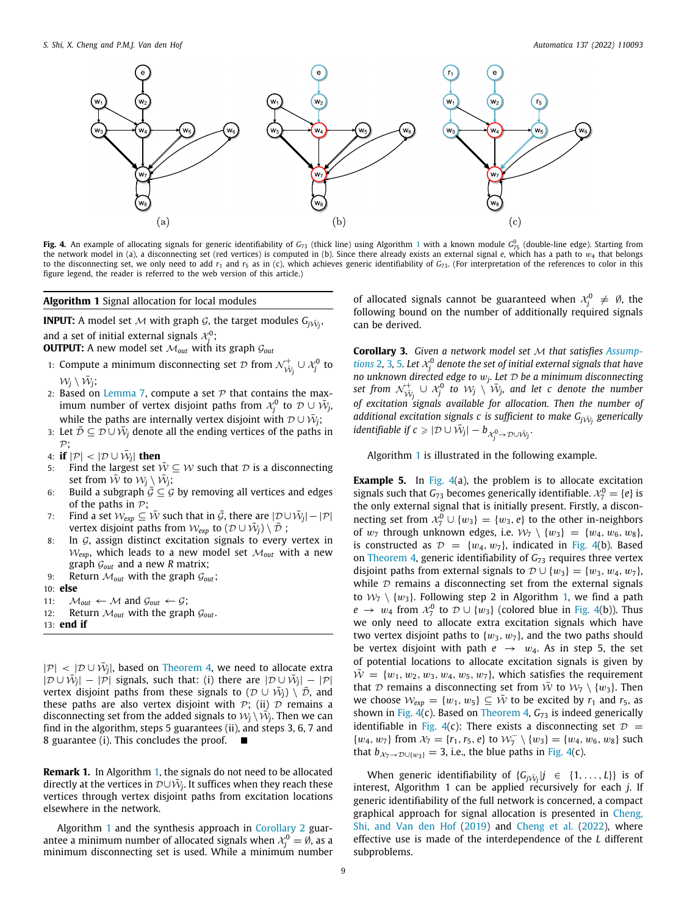

<span id="page-8-1"></span>**Fig. 4.** An example of allocating signals for generic identifiability of *G*<sup>73</sup> (thick line) using Algorithm [1](#page-8-0) with a known module *G* 0 <sup>75</sup> (double-line edge). Starting from the network model in (a), a disconnecting set (red vertices) is computed in (b). Since there already exists an external signal *e*, which has a path to  $w_4$  that belongs to the disconnecting set, we only need to add  $r_1$  and  $r_5$  as in (c), which achieves generic identifiability of  $G_{73}$ . (For interpretation of the references to color in this figure legend, the reader is referred to the web version of this article.)

**Algorithm 1** Signal allocation for local modules

**INPUT:** A model set  ${\cal M}$  with graph  ${\cal G}$ , the target modules  $G_{j\tilde{W}_{j}},$ and a set of initial external signals  $\mathcal{X}^0_j$ ;

**OUTPUT:** A new model set  $M_{out}$  with its graph  $G_{out}$ 

- 1: Compute a minimum disconnecting set  $\mathcal D$  from  $\mathcal N_{\tilde{\mathcal W}_j}^+\cup\mathcal X_j^0$  to  $\mathcal{W}_j \setminus \bar{\mathcal{W}}_j$ ;
- 2: Based on [Lemma](#page-11-0) [7,](#page-11-0) compute a set  $P$  that contains the maximum number of vertex disjoint paths from  $\mathcal{X}^0_j$  to  $\mathcal{D} \cup \bar{\mathcal{W}}_j$ , while the paths are internally vertex disjoint with  $\mathcal{D}\cup \bar{\mathcal{W}}_j;$
- 3: Let  $\bar{\mathcal{D}} \subseteq \mathcal{D} \cup \bar{\mathcal{W}}_j$  denote all the ending vertices of the paths in  $\mathcal{P}$ :
- 4: **if**  $|\mathcal{P}| < |\mathcal{D} \cup \bar{\mathcal{W}}_j|$  then
- 5: Find the largest set  $\overline{W} \subseteq W$  such that D is a disconnecting set from  $\overline{W}$  to  $W_j \setminus \overline{W}_j$ ;
- 6: Build a subgraph  $\bar{G} \subseteq G$  by removing all vertices and edges of the paths in  $P$ ;
- 7: Find a set  $\mathcal{W}_{exp} \subseteq \overline{\mathcal{W}}$  such that in  $\overline{\mathcal{G}}$ , there are  $|\mathcal{D} \cup \overline{\mathcal{W}}_j| |\mathcal{P}|$ vertex disjoint paths from  $\mathcal{W}_{exp}$  to  $(\mathcal{D} \cup \bar{\mathcal{W}}_j) \setminus \bar{\mathcal{D}}$ ;
- 8: In  $G$ , assign distinct excitation signals to every vertex in  $W_{\text{exp}}$ , which leads to a new model set  $M_{\text{out}}$  with a new graph G*out* and a new *R* matrix;
- 9: Return M*out* with the graph G*out*;
- 10: **else**
- 11:  $M_{out} \leftarrow M$  and  $\mathcal{G}_{out} \leftarrow \mathcal{G}$ ;
- 12: Return  $M_{out}$  with the graph  $G_{out}$ .
- <span id="page-8-0"></span>13: **end if**

 $|\mathcal{P}|$  <  $|\mathcal{D} \cup \bar{\mathcal{W}}_j|$ , based on [Theorem](#page-6-3) [4](#page-6-3), we need to allocate extra  $|\mathcal{D} \cup \bar{\mathcal{W}}_j| - |\mathcal{P}|$  signals, such that: (i) there are  $|\mathcal{D} \cup \bar{\mathcal{W}}_j| - |\mathcal{P}|$ vertex disjoint paths from these signals to  $(\mathcal{D} \,\cup\, \tilde{\mathcal{W}}_j) \, \setminus \, \tilde{\mathcal{D}},$  and these paths are also vertex disjoint with  $P$ ; (ii)  $D$  remains a disconnecting set from the added signals to  $\mathcal{W}_j \setminus \dot{\vec{\mathcal{W}}}_j$ . Then we can find in the algorithm, steps 5 guarantees (ii), and steps 3, 6, 7 and 8 guarantee (i). This concludes the proof. ■

**Remark 1.** In Algorithm [1](#page-8-0), the signals do not need to be allocated directly at the vertices in  $\mathcal{D}\!\cup\!\tilde{\mathcal{W}}_j$ . It suffices when they reach these vertices through vertex disjoint paths from excitation locations elsewhere in the network.

Algorithm [1](#page-8-0) and the synthesis approach in [Corollary](#page-7-3) [2](#page-7-3) guarantee a minimum number of allocated signals when  $\mathcal{X}_j^0 = \emptyset$ , as a minimum disconnecting set is used. While a minimum number

of allocated signals cannot be guaranteed when  $\mathcal{X}_j^0 \neq \emptyset$ , the following bound on the number of additionally required signals can be derived.

**Corollary 3.** *Given a network model set* M *that satisfies [Assump](#page-2-4)[tions](#page-2-4)* [2](#page-2-4), [3](#page-4-4), [5](#page-5-5). Let  $\mathcal{X}_j^0$  denote the set of initial external signals that have *no unknown directed edge to* w*<sup>j</sup> . Let* D *be a minimum disconnecting* set from  $\mathcal{N}_{\tilde{\mathcal{W}}_j}^+ \cup \mathcal{X}_j^0$  to  $\mathcal{W}_j \setminus \tilde{\mathcal{W}}_j$ , and let c denote the number *of excitation signals available for allocation. Then the number of* additional excitation signals  $c$  is sufficient to make  $G_{j\bar{\cal W}_{j}}$  generically *identifiable if c*  $\geqslant |\mathcal{D} \cup \tilde{\mathcal{W}}_j| - b_{\mathcal{X}^0_j \to \mathcal{D} \cup \tilde{\mathcal{W}}_j}$ .

Algorithm [1](#page-8-0) is illustrated in the following example.

**Example 5.** In [Fig.](#page-8-1) [4](#page-8-1)(a), the problem is to allocate excitation signals such that  $G_{73}$  becomes generically identifiable.  $\mathcal{X}_7^0 = \{e\}$  is the only external signal that is initially present. Firstly, a disconnecting set from  $\mathcal{X}_7^0 \cup \{w_3\} = \{w_3, e\}$  to the other in-neighbors of  $w_7$  through unknown edges, i.e.  $\mathcal{W}_7 \setminus \{w_3\} = \{w_4, w_6, w_8\}$ , is constructed as  $\mathcal{D} = \{w_4, w_7\}$  $\mathcal{D} = \{w_4, w_7\}$  $\mathcal{D} = \{w_4, w_7\}$ , indicated in [Fig.](#page-8-1) 4(b). Based on [Theorem](#page-6-3) [4,](#page-6-3) generic identifiability of *G*<sup>73</sup> requires three vertex disjoint paths from external signals to  $\mathcal{D} \cup \{w_3\} = \{w_3, w_4, w_7\}$ , while  $D$  remains a disconnecting set from the external signals to  $W_7 \setminus \{w_3\}$ . Following step 2 in Algorithm [1,](#page-8-0) we find a path  $e \rightarrow w_4$  from  $\mathcal{X}_7^0$  to  $\mathcal{D} \cup \{w_3\}$  (colored blue in [Fig.](#page-8-1) [4\(](#page-8-1)b)). Thus we only need to allocate extra excitation signals which have two vertex disjoint paths to  $\{w_3, w_7\}$ , and the two paths should be vertex disjoint with path  $e \rightarrow w_4$ . As in step 5, the set of potential locations to allocate excitation signals is given by  $\overline{W} = \{w_1, w_2, w_3, w_4, w_5, w_7\}$ , which satisfies the requirement that  $D$  remains a disconnecting set from  $\overline{W}$  to  $W_7 \setminus \{w_3\}$ . Then we choose  $W_{exp} = \{w_1, w_5\} \subseteq \overline{W}$  to be excited by  $r_1$  and  $r_5$ , as shown in [Fig.](#page-8-1) [4](#page-8-1)(c). Based on [Theorem](#page-6-3) [4,](#page-6-3)  $G<sub>73</sub>$  is indeed generically identifiable in [Fig.](#page-8-1) [4\(](#page-8-1)c): There exists a disconnecting set  $\mathcal{D}$  =  $\{w_4, w_7\}$  from  $\mathcal{X}_7 = \{r_1, r_5, e\}$  to  $\mathcal{W}_7^- \setminus \{w_3\} = \{w_4, w_6, w_8\}$  such that  $b_{\mathcal{X}_7\to\mathcal{D}\cup\{w_3\}}=3$ , i.e., the blue paths in [Fig.](#page-8-1) [4\(](#page-8-1)c).

When generic identifiability of  $\{G_j\bar{W}_j|j \in \{1,\ldots,L\}\}\)$  is of interest, Algorithm 1 can be applied recursively for each *j*. If generic identifiability of the full network is concerned, a compact graphical approach for signal allocation is presented in [Cheng,](#page-12-33) [Shi, and Van den Hof](#page-12-33) ([2019](#page-12-33)) and [Cheng et al.](#page-12-24) ([2022\)](#page-12-24), where effective use is made of the interdependence of the *L* different subproblems.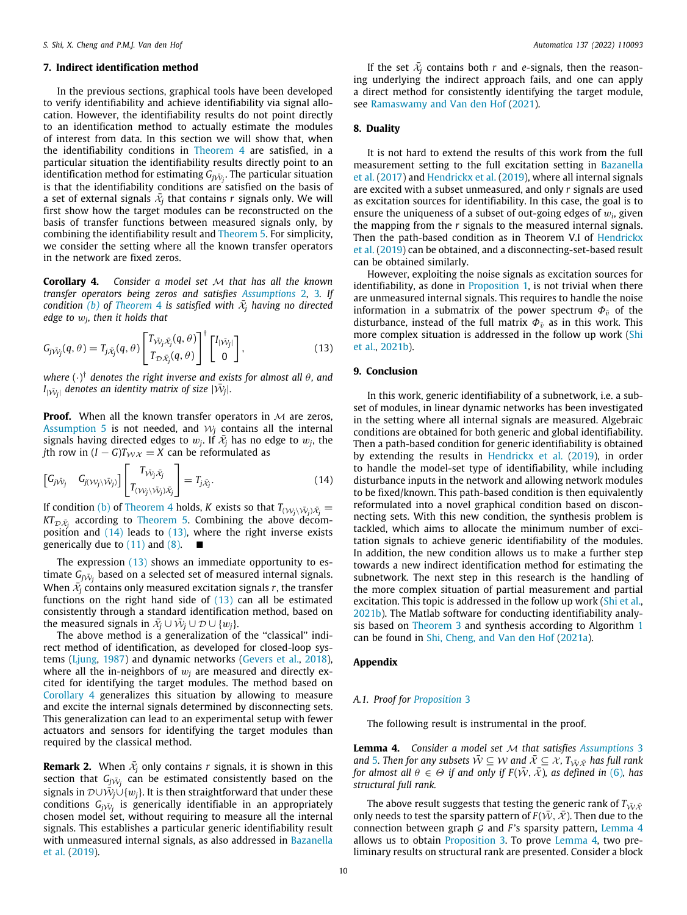#### **7. Indirect identification method**

<span id="page-9-0"></span>In the previous sections, graphical tools have been developed to verify identifiability and achieve identifiability via signal allocation. However, the identifiability results do not point directly to an identification method to actually estimate the modules of interest from data. In this section we will show that, when the identifiability conditions in [Theorem](#page-6-3) [4](#page-6-3) are satisfied, in a particular situation the identifiability results directly point to an identification method for estimating  $G_{j\tilde{\mathcal{W}}_{j}}$ . The particular situation is that the identifiability conditions are satisfied on the basis of a set of external signals  $\bar{x_j}$  that contains  $r$  signals only. We will first show how the target modules can be reconstructed on the basis of transfer functions between measured signals only, by combining the identifiability result and [Theorem](#page-6-7) [5](#page-6-7). For simplicity, we consider the setting where all the known transfer operators in the network are fixed zeros.

<span id="page-9-4"></span>**Corollary 4.** *Consider a model set* M *that has all the known transfer operators being zeros and satisfies [Assumptions](#page-2-4)* [2](#page-2-4)*,* [3](#page-4-4)*. If*  $i$  *condition* [\(b\)](#page-6-5) of [Theorem](#page-6-3) [4](#page-6-3) is satisfied with  $\bar{x_j}$  having no directed *edge to* w*<sup>j</sup> , then it holds that*

$$
G_{j\bar{\mathcal{N}}_{j}}(q,\theta)=T_{j\bar{\mathcal{X}}_{j}}(q,\theta)\begin{bmatrix}T_{\bar{\mathcal{N}}_{j}\bar{\mathcal{X}}_{j}}(q,\theta)\\T_{\mathcal{D}\bar{\mathcal{X}}_{j}}(q,\theta)\end{bmatrix}^{\dagger}\begin{bmatrix}I_{|\bar{\mathcal{N}}_{j}|}\\0\end{bmatrix},\qquad(13)
$$

*where* (·) † *denotes the right inverse and exists for almost all* θ*, and*  $I_{|\bar{\mathcal{W}}_j|}$  denotes an identity matrix of size  $|\bar{\mathcal{W}}_j|.$ 

**Proof.** When all the known transfer operators in  $M$  are zeros, [Assumption](#page-5-5) [5](#page-5-5) is not needed, and  $W_j$  contains all the internal signals having directed edges to  $w_j$ . If  $\bar{\mathcal{X}}_j$  has no edge to  $w_j$ , the *j*th row in  $(I - G)T_{\mathcal{W}X} = X$  can be reformulated as

$$
\begin{bmatrix} G_{j\bar{\mathcal{N}}_{j}} & G_{j(\mathcal{W}_{j}\setminus\bar{\mathcal{W}}_{j})} \end{bmatrix} \begin{bmatrix} T_{\bar{\mathcal{W}}_{j}\bar{\mathcal{X}}_{j}} \\ T_{(\mathcal{W}_{j}\setminus\bar{\mathcal{W}}_{j})\bar{\mathcal{X}}_{j}} \end{bmatrix} = T_{j\bar{\mathcal{X}}_{j}}.\tag{14}
$$

If condition [\(b\)](#page-6-5) of [Theorem](#page-6-3) [4](#page-6-3) holds, *K* exists so that  $T_{(\mathcal{W}_j \setminus \bar{\mathcal{W}}_j) \bar{\mathcal{X}}_j} =$ *KT* $_{\mathcal{D}\bar{\mathcal{X}}_i}$  according to [Theorem](#page-6-7) [5.](#page-6-7) Combining the above decomposition and  $(14)$  leads to  $(13)$ , where the right inverse exists generically due to  $(11)$  and  $(8)$ .  $\blacksquare$ 

The expression ([13\)](#page-9-3) shows an immediate opportunity to estimate  $G_{j \bar{\mathcal{W}}_j}$  based on a selected set of measured internal signals. When  $\bar{\mathcal{X}_j}$  contains only measured excitation signals  $r$ , the transfer functions on the right hand side of [\(13\)](#page-9-3) can all be estimated consistently through a standard identification method, based on the measured signals in  $\bar{x_j} \cup \bar{W}_j \cup \mathcal{D} \cup \{w_j\}.$ 

The above method is a generalization of the "classical" indirect method of identification, as developed for closed-loop systems ([Ljung,](#page-12-27) [1987](#page-12-27)) and dynamic networks ([Gevers et al.](#page-12-15), [2018\)](#page-12-15), where all the in-neighbors of  $w_i$  are measured and directly excited for identifying the target modules. The method based on [Corollary](#page-9-4) [4](#page-9-4) generalizes this situation by allowing to measure and excite the internal signals determined by disconnecting sets. This generalization can lead to an experimental setup with fewer actuators and sensors for identifying the target modules than required by the classical method.

**Remark 2.** When  $\bar{x}_j$  only contains  $r$  signals, it is shown in this section that  $G_{j\bar{\mathcal{W}}_j}$  can be estimated consistently based on the  $\bar{\mathsf{s}}$ ignals in  $\mathcal{D} \cup \dot{\bar{\mathcal{W}}_j} \dot{\cup} \{w_j\}.$  It is then straightforward that under these conditions  $G_{j\bar{\mathcal{W}}_{j}}$  is generically identifiable in an appropriately chosen model set, without requiring to measure all the internal signals. This establishes a particular generic identifiability result with unmeasured internal signals, as also addressed in [Bazanella](#page-12-22) [et al.](#page-12-22) [\(2019\)](#page-12-22).

If the set  $\bar{x}_j$  contains both *r* and *e*-signals, then the reasoning underlying the indirect approach fails, and one can apply a direct method for consistently identifying the target module, see [Ramaswamy and Van den Hof](#page-12-18) [\(2021\)](#page-12-18).

# **8. Duality**

It is not hard to extend the results of this work from the full measurement setting to the full excitation setting in [Bazanella](#page-12-20) [et al.](#page-12-20) ([2017](#page-12-20)) and [Hendrickx et al.](#page-12-21) [\(2019\)](#page-12-21), where all internal signals are excited with a subset unmeasured, and only *r* signals are used as excitation sources for identifiability. In this case, the goal is to ensure the uniqueness of a subset of out-going edges of  $w_i$ , given the mapping from the *r* signals to the measured internal signals. Then the path-based condition as in Theorem V.I of [Hendrickx](#page-12-21) [et al.](#page-12-21) ([2019\)](#page-12-21) can be obtained, and a disconnecting-set-based result can be obtained similarly.

However, exploiting the noise signals as excitation sources for identifiability, as done in [Proposition](#page-3-1) [1,](#page-3-1) is not trivial when there are unmeasured internal signals. This requires to handle the noise information in a submatrix of the power spectrum  $\Phi_{\bar{v}}$  of the disturbance, instead of the full matrix  $\Phi_{\bar{v}}$  as in this work. This more complex situation is addressed in the follow up work ([Shi](#page-12-23) [et al.,](#page-12-23) [2021b](#page-12-23)).

# <span id="page-9-3"></span>**9. Conclusion**

<span id="page-9-2"></span>In this work, generic identifiability of a subnetwork, i.e. a subset of modules, in linear dynamic networks has been investigated in the setting where all internal signals are measured. Algebraic conditions are obtained for both generic and global identifiability. Then a path-based condition for generic identifiability is obtained by extending the results in [Hendrickx et al.](#page-12-21) ([2019](#page-12-21)), in order to handle the model-set type of identifiability, while including disturbance inputs in the network and allowing network modules to be fixed/known. This path-based condition is then equivalently reformulated into a novel graphical condition based on disconnecting sets. With this new condition, the synthesis problem is tackled, which aims to allocate the minimum number of excitation signals to achieve generic identifiability of the modules. In addition, the new condition allows us to make a further step towards a new indirect identification method for estimating the subnetwork. The next step in this research is the handling of the more complex situation of partial measurement and partial excitation. This topic is addressed in the follow up work ([Shi et al.,](#page-12-23) [2021b\)](#page-12-23). The Matlab software for conducting identifiability analysis based on [Theorem](#page-5-7) [3](#page-5-7) and synthesis according to Algorithm [1](#page-8-0) can be found in [Shi, Cheng, and Van den Hof](#page-12-34) [\(2021a\)](#page-12-34).

## **Appendix**

# <span id="page-9-1"></span>*A.1. Proof for [Proposition](#page-5-6)* [3](#page-5-6)

The following result is instrumental in the proof.

<span id="page-9-5"></span>**Lemma 4.** *Consider a model set* M *that satisfies [Assumptions](#page-4-4)* [3](#page-4-4) *and* [5](#page-5-5)*. Then for any subsets*  $\overline{W} \subseteq W$  *and*  $\overline{X} \subseteq X$ ,  $T_{\overline{W} \overline{X}}$  *has full rank for almost all*  $\theta \in \Theta$  *if and only if*  $F(\overline{W}, \overline{X})$ *, as defined in* [\(6](#page-4-8))*, has structural full rank.*

The above result suggests that testing the generic rank of  $T_{\bar{W}\bar{X}}$ only needs to test the sparsity pattern of  $F(\bar{W}, \bar{X})$ . Then due to the connection between graph G and *F*'s sparsity pattern, [Lemma](#page-9-5) [4](#page-9-5) allows us to obtain [Proposition](#page-5-6) [3](#page-5-6). To prove [Lemma](#page-9-5) [4,](#page-9-5) two preliminary results on structural rank are presented. Consider a block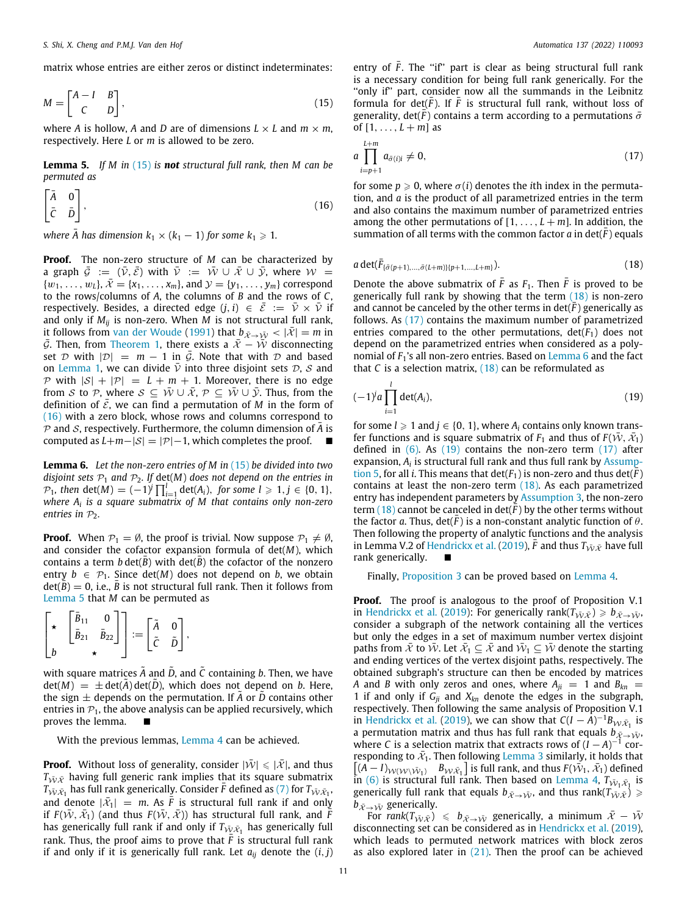matrix whose entries are either zeros or distinct indeterminates:

$$
M = \begin{bmatrix} A - I & B \\ C & D \end{bmatrix},\tag{15}
$$

where *A* is hollow, *A* and *D* are of dimensions  $L \times L$  and  $m \times m$ , respectively. Here *L* or *m* is allowed to be zero.

<span id="page-10-2"></span>**Lemma 5.** *If M in* [\(15\)](#page-10-0) *is not structural full rank, then M can be permuted as*

$$
\begin{bmatrix} \bar{A} & 0 \\ \bar{C} & \bar{D} \end{bmatrix},\tag{16}
$$

where  $\bar{A}$  has dimension  $k_1 \times (k_1 - 1)$  for some  $k_1 \geqslant 1$ .

**Proof.** The non-zero structure of *M* can be characterized by a graph  $\bar{G} := (\bar{\nu}, \bar{\varepsilon})$  with  $\bar{\nu} := \bar{\nu} \cup \bar{\varepsilon} \cup \bar{\nu}$ , where  $W =$  $\{w_1, \ldots, w_L\}, \bar{\mathcal{X}} = \{x_1, \ldots, x_m\}, \text{and } \mathcal{Y} = \{y_1, \ldots, y_m\} \text{ correspond}$ to the rows/columns of *A*, the columns of *B* and the rows of *C*, respectively. Besides, a directed edge  $(j, i) \in \overline{E} := \overline{V} \times \overline{V}$  if and only if  $M_{ij}$  is non-zero. When  $M$  is not structural full rank, it follows from [van der Woude](#page-13-10) ([1991\)](#page-13-10) that  $b_{\bar{x}\to\bar{W}} < |\bar{x}| = m$  in  $\bar{G}$ . Then, from [Theorem](#page-4-10) [1,](#page-4-10) there exists a  $\bar{x} - \bar{W}$  disconnecting set  $D$  with  $|D| = m - 1$  in  $\overline{G}$ . Note that with  $D$  and based on [Lemma](#page-3-5) [1](#page-3-5), we can divide  $\overline{v}$  into three disjoint sets  $\mathcal{D}, \mathcal{S}$  and P with  $|S| + |P| = L + m + 1$ . Moreover, there is no edge from S to P, where  $S \subseteq \overline{W} \cup \overline{X}$ ,  $P \subseteq \overline{W} \cup \overline{Y}$ . Thus, from the definition of  $\bar{\mathcal{E}}$ , we can find a permutation of *M* in the form of ([16](#page-10-1)) with a zero block, whose rows and columns correspond to  $P$  and  $S$ , respectively. Furthermore, the column dimension of  $\overline{A}$  is computed as  $L+m-|S| = |\mathcal{P}|-1$ , which completes the proof.

<span id="page-10-5"></span>**Lemma 6.** *Let the non-zero entries of M in* [\(15](#page-10-0)) *be divided into two disjoint sets*  $P_1$  *and*  $P_2$ *. If det(M) does not depend on the entries in P*<sub>1</sub>*,* then det(*M*) =  $(-1)^{j} \prod_{i=1}^{l} det(A_i)$ *, for some l* ≥ 1*, j* ∈ {0*,* 1}*, where A<sup>i</sup> is a square submatrix of M that contains only non-zero entries in*  $P_2$ *.* 

**Proof.** When  $P_1 = \emptyset$ , the proof is trivial. Now suppose  $P_1 \neq \emptyset$ , and consider the cofactor expansion formula of det(*M*), which contains a term *b* det( $\overline{B}$ ) with det( $\overline{B}$ ) the cofactor of the nonzero entry  $b \in \mathcal{P}_1$ . Since det(*M*) does not depend on *b*, we obtain  $det(B) = 0$ , i.e., *B* is not structural full rank. Then it follows from [Lemma](#page-10-2) [5](#page-10-2) that *M* can be permuted as

$$
\begin{bmatrix} \star & \begin{bmatrix} \bar{B}_{11} & 0 \\ \bar{B}_{21} & \bar{B}_{22} \end{bmatrix} \end{bmatrix} := \begin{bmatrix} \tilde{A} & 0 \\ \tilde{C} & \tilde{D} \end{bmatrix},
$$

with square matrices  $\tilde{A}$  and  $\tilde{D}$ , and  $\tilde{C}$  containing *b*. Then, we have  $det(M) = \pm det(A) det(D)$ , which does not depend on *b*. Here, the sign  $\pm$  depends on the permutation. If A or *D* contains other entries in  $P_1$ , the above analysis can be applied recursively, which proves the lemma.  $\blacksquare$ 

With the previous lemmas, [Lemma](#page-9-5) [4](#page-9-5) can be achieved.

**Proof.** Without loss of generality, consider  $|\bar{W}| \leq |\bar{x}|$ , and thus  $T_{\bar{W}\bar{\mathcal{X}}}$  having full generic rank implies that its square submatrix  $T_{\bar{\mathcal{W}}\bar{\mathcal{X}}_1}$  has full rank generically. Consider  $\bar{F}$  defined as ([7](#page-4-11)) for  $T_{\bar{\mathcal{W}}\bar{\mathcal{X}}_1}$ , and denote  $|\bar{x}_1| = m$ . As  $\bar{\bar{F}}$  is structural full rank if and only if  $F(\bar{\mathcal{W}}, \bar{\mathcal{X}}_1)$  (and thus  $F(\bar{\mathcal{W}}, \bar{\mathcal{X}})$ ) has structural full rank, and  $\bar{\bar{F}}$ has generically full rank if and only if  $T_{\tilde{\mathcal{W}} \tilde{\mathcal{X}}_1}$  has generically full rank. Thus, the proof aims to prove that  $\bar{F}$  is structural full rank if and only if it is generically full rank. Let  $a_{ii}$  denote the  $(i, j)$ 

<span id="page-10-0"></span>entry of  $\bar{F}$ . The "if" part is clear as being structural full rank is a necessary condition for being full rank generically. For the "only if" part, consider now all the summands in the Leibnitz formula for det( $\overline{F}$ ). If  $\overline{F}$  is structural full rank, without loss of generality, det( $\bar{F}$ ) contains a term according to a permutations  $\bar{\sigma}$ of  $[1, ..., L + m]$  as

<span id="page-10-4"></span>
$$
a \prod_{i=p+1}^{L+m} a_{\bar{\sigma}(i)i} \neq 0,
$$
\n(17)

<span id="page-10-1"></span>for some  $p \ge 0$ , where  $\sigma(i)$  denotes the *i*th index in the permutation, and *a* is the product of all parametrized entries in the term and also contains the maximum number of parametrized entries among the other permutations of  $[1, \ldots, L+m]$ . In addition, the summation of all terms with the common factor  $a$  in  $det(F)$  equals

$$
a \det(\bar{F}_{\{\bar{\sigma}(p+1),...,\bar{\sigma}(L+m)\}\{p+1,...,L+m\}}).
$$
 (18)

Denote the above submatrix of  $\overline{F}$  as  $F_1$ . Then  $\overline{F}$  is proved to be generically full rank by showing that the term [\(18\)](#page-10-3) is non-zero and cannot be canceled by the other terms in  $\det(F)$  generically as follows. As [\(17](#page-10-4)) contains the maximum number of parametrized entries compared to the other permutations,  $det(F_1)$  does not depend on the parametrized entries when considered as a polynomial of *F*1's all non-zero entries. Based on [Lemma](#page-10-5) [6](#page-10-5) and the fact that  $C$  is a selection matrix,  $(18)$  $(18)$  $(18)$  can be reformulated as

$$
(-1)^{j}a\prod_{i=1}\det(A_{i}),\qquad(19)
$$

<span id="page-10-6"></span><span id="page-10-3"></span>*l*

for some  $l \geq 1$  and  $j \in \{0, 1\}$ , where  $A_i$  contains only known transfer functions and is square submatrix of  $F_1$  and thus of  $F(\bar{W}, \bar{X}_1)$ defined in  $(6)$ . As  $(19)$  contains the non-zero term  $(17)$  $(17)$  $(17)$  after expansion,  $A_i$  is structural full rank and thus full rank by [Assump](#page-5-5)[tion](#page-5-5) [5,](#page-5-5) for all *i*. This means that  $\det(F_1)$  is non-zero and thus  $\det(F)$ contains at least the non-zero term [\(18\)](#page-10-3). As each parametrized entry has independent parameters by [Assumption](#page-4-4) [3](#page-4-4), the non-zero term  $(18)$  cannot be canceled in  $det(F)$  by the other terms without the factor *a*. Thus,  $det(F)$  is a non-constant analytic function of  $\theta$ . Then following the property of analytic functions and the analysis in Lemma V.2 of [Hendrickx et al.](#page-12-21) [\(2019](#page-12-21)),  $\bar{F}$  and thus  $T_{\bar{W}\bar{X}}$  have full rank generically.

Finally, [Proposition](#page-5-6) [3](#page-5-6) can be proved based on [Lemma](#page-9-5) [4.](#page-9-5)

**Proof.** The proof is analogous to the proof of Proposition V.1 in [Hendrickx et al.](#page-12-21) [\(2019\)](#page-12-21): For generically rank $(T_{\bar{W}\bar{X}}) \geq b_{\bar{X}\to\bar{W}}$ , consider a subgraph of the network containing all the vertices but only the edges in a set of maximum number vertex disjoint paths from  $\bar{x}$  to  $\bar{W}$ . Let  $\bar{x_1} \subseteq \bar{x}$  and  $\bar{W}_1 \subseteq \bar{W}$  denote the starting and ending vertices of the vertex disjoint paths, respectively. The obtained subgraph's structure can then be encoded by matrices *A* and *B* with only zeros and ones, where  $A_{ji} = 1$  and  $B_{kn} =$ 1 if and only if  $G_{ji}$  and  $X_{kn}$  denote the edges in the subgraph, respectively. Then following the same analysis of Proposition V.1 in [Hendrickx et al.](#page-12-21) [\(2019](#page-12-21)), we can show that  $C(I - A)^{-1}B_{\mathcal{W}\bar{\mathcal{X}}_1}$  is a permutation matrix and thus has full rank that equals  $b_{\vec{x}\rightarrow\vec{W}}$ . where *C* is a selection matrix that extracts rows of  $(I - A)^{-1}$  corresponding to  $\bar{x}_1$ . Then following [Lemma](#page-4-12) [3](#page-4-12) similarly, it holds that  $[(A-I)_{\mathcal{W}(\mathcal{W}\setminus\bar{\mathcal{W}}_1)}$  *B*<sub>W $\bar{x}_1$ </sub> ] is full rank, and thus  $F(\bar{\mathcal{W}}_1, \bar{\mathcal{X}}_1)$  defined in ([6](#page-4-8)) is structural full rank. Then based on [Lemma](#page-9-5) [4,](#page-9-5)  $T_{\bar{W}_1 \bar{X}_1}$  is generically full rank that equals  $b_{\bar{x}\to\bar{W}}$ , and thus rank( $T_{\bar{W}\bar{X}}$ )  $\geq$  $b_{\bar{X}\rightarrow\bar{W}}$  generically.

For rank $(T_{\tilde{W}\tilde{X}}) \le b_{\tilde{X}\to\tilde{W}}$  generically, a minimum  $\tilde{X} - \tilde{W}$ disconnecting set can be considered as in [Hendrickx et al.](#page-12-21) [\(2019\)](#page-12-21), which leads to permuted network matrices with block zeros as also explored later in  $(21)$ . Then the proof can be achieved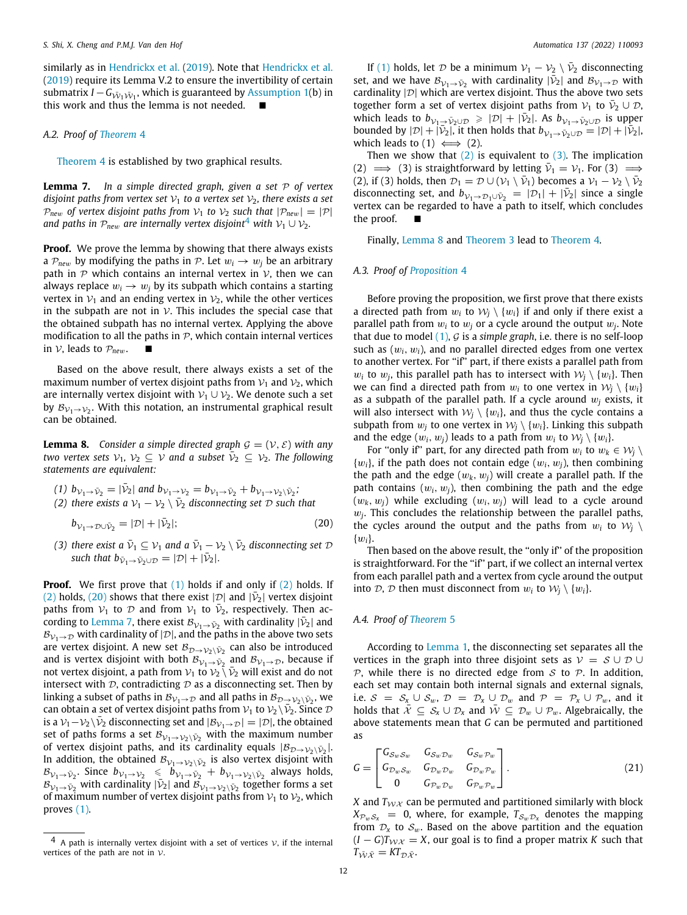similarly as in [Hendrickx et al.](#page-12-21) ([2019\)](#page-12-21). Note that [Hendrickx et al.](#page-12-21) ([2019\)](#page-12-21) require its Lemma V.2 to ensure the invertibility of certain submatrix  $I - G_{\bar{\mathcal{W}}_1 \bar{\mathcal{W}}_1}$ , which is guaranteed by [Assumption](#page-1-4) [1\(](#page-1-4)b) in this work and thus the lemma is not needed.  $\blacksquare$ 

# *A.2. Proof of [Theorem](#page-6-3)* [4](#page-6-3)

[Theorem](#page-6-3) [4](#page-6-3) is established by two graphical results.

**Lemma 7.** *In a simple directed graph, given a set* P *of vertex disjoint paths from vertex set*  $V_1$  *to a vertex set*  $V_2$ *, there exists a set*  $P_{new}$  *of vertex disjoint paths from*  $V_1$  *to*  $V_2$  *such that*  $|P_{new}| = |P|$ *and paths in*  $P_{new}$  *are internally vertex disjoint*<sup>[4](#page-11-2)</sup> *with*  $V_1 \cup V_2$ *.* 

**Proof.** We prove the lemma by showing that there always exists a  $P_{new}$  by modifying the paths in P. Let  $w_i \rightarrow w_i$  be an arbitrary path in  $P$  which contains an internal vertex in  $V$ , then we can always replace  $w_i \rightarrow w_j$  by its subpath which contains a starting vertex in  $V_1$  and an ending vertex in  $V_2$ , while the other vertices in the subpath are not in  $\mathcal V$ . This includes the special case that the obtained subpath has no internal vertex. Applying the above modification to all the paths in  $P$ , which contain internal vertices in  $V$ , leads to  $P_{new}$ .

Based on the above result, there always exists a set of the maximum number of vertex disjoint paths from  $V_1$  and  $V_2$ , which are internally vertex disjoint with  $V_1 \cup V_2$ . We denote such a set by  ${\mathcal B}_{{\mathcal V}_{1} \to {\mathcal V}_{2}}.$  With this notation, an instrumental graphical result can be obtained.

<span id="page-11-4"></span>**Lemma 8.** *Consider a simple directed graph*  $G = (V, \mathcal{E})$  *with any two vertex sets*  $V_1$ ,  $V_2 \subseteq V$  and a subset  $\overline{V}_2 \subseteq V_2$ . The following *statements are equivalent:*

\n- (1) 
$$
b_{\mathcal{V}_1 \to \bar{\mathcal{V}}_2} = |\bar{\mathcal{V}}_2|
$$
 and  $b_{\mathcal{V}_1 \to \mathcal{V}_2} = b_{\mathcal{V}_1 \to \bar{\mathcal{V}}_2} + b_{\mathcal{V}_1 \to \mathcal{V}_2 \setminus \bar{\mathcal{V}}_2}$  (2) there exists a  $\mathcal{V}_1 - \mathcal{V}_2 \setminus \bar{\mathcal{V}}_2$  disconnecting set  $\mathcal{D}$  such that
\n

 $b_{\mathcal{V}_1\rightarrow\mathcal{D}\cup\bar{\mathcal{V}}_2} = |\mathcal{D}| + |\bar{\mathcal{V}}|$  $\mathcal{E}_2$  |; (20)

(3) there exist a  $\bar{\nu}_1 \subseteq \nu_1$  and a  $\bar{\nu}_1 - \nu_2 \setminus \bar{\nu}_2$  disconnecting set  $\mathcal{D}$ *such that*  $b_{\bar{V}_1 \rightarrow \bar{V}_2 \cup \mathcal{D}} = |\mathcal{D}| + |\bar{V}_2|$ .

**Proof.** We first prove that ([1](#page-1-2)) holds if and only if ([2\)](#page-1-3) holds. If ([2](#page-1-3)) holds, ([20](#page-11-3)) shows that there exist  $|\mathcal{D}|$  and  $|\bar{\mathcal{V}}_2|$  vertex disjoint paths from  $V_1$  to  $D$  and from  $V_1$  to  $\bar{V}_2$ , respectively. Then ac-cording to [Lemma](#page-11-0) [7,](#page-11-0) there exist  $\mathcal{B}_{\mathcal{V}_1 \to \bar{\mathcal{V}}_2}$  with cardinality  $|\bar{\mathcal{V}}_2|$  and  $B_{V_1\rightarrow\mathcal{D}}$  with cardinality of  $|\mathcal{D}|$ , and the paths in the above two sets are vertex disjoint. A new set  $\mathcal{B}_{\mathcal{D}\rightarrow\mathcal{V}_{2}\backslash\bar{\mathcal{V}}_{2}}$  can also be introduced and is vertex disjoint with both  $\mathcal{B}_{\mathcal{V}_{1} \rightarrow \bar{\mathcal{V}}_{2}}$  and  $\mathcal{B}_{\mathcal{V}_{1} \rightarrow \mathcal{D}}$ , because if not vertex disjoint, a path from  $v_1$  to  $v_2 \n\setminus \bar{v}_2$  will exist and do not intersect with  $D$ , contradicting  $D$  as a disconnecting set. Then by linking a subset of paths in  ${\mathcal B}_{{\mathcal V}_1 \to {\mathcal D}}$  and all paths in  ${\mathcal B}_{{\mathcal D} \to {\mathcal V}_2\setminus \bar{{\mathcal V}}_2}$ , we can obtain a set of vertex disjoint paths from  $\mathcal{V}_1$  to  $\mathcal{V}_2 \backslash \overline{\mathcal{V}}_2$ . Since  $\mathcal D$ is a  $\mathcal{V}_1 - \mathcal{V}_2 \setminus \bar{\mathcal{V}}_2$  disconnecting set and  $|\mathcal{B}_{\mathcal{V}_1 \rightarrow \mathcal{D}}| = |\mathcal{D}|$ , the obtained set of paths forms a set  $\mathcal{B}_{\mathcal{V}_1 \rightarrow \mathcal{V}_2 \setminus \bar{\mathcal{V}}_2}$  with the maximum number of vertex disjoint paths, and its cardinality equals  $|\mathcal{B}_{\mathcal{D}\to\mathcal{V}_2\setminus\bar{\mathcal{V}}_2}|$ . In addition, the obtained  ${\cal B}_{{\cal V}_{1} \to {\cal V}_{2} \setminus \bar{{\cal V}}_{2}}$  is also vertex disjoint with  $B_{\mathcal{V}_1 \to \bar{\mathcal{V}}_2}$ . Since  $b_{\mathcal{V}_1 \to \mathcal{V}_2} \leq b_{\mathcal{V}_1 \to \bar{\mathcal{V}}_2} + b_{\mathcal{V}_1 \to \mathcal{V}_2 \setminus \bar{\mathcal{V}}_2}$  always holds,  $B_{\mathcal{V}_1 \to \bar{\mathcal{V}}_2}$  with cardinality  $|\bar{\mathcal{V}}_2|$  and  $B_{\mathcal{V}_1 \to \mathcal{V}_2 \setminus \bar{\mathcal{V}}_2}$  together forms a set of maximum number of vertex disjoint paths from  $V_1$  to  $V_2$ , which proves [\(1\)](#page-1-2).

If [\(1](#page-1-2)) holds, let  $D$  be a minimum  $V_1 - V_2 \setminus \bar{V}_2$  disconnecting set, and we have  $\mathcal{B}_{\mathcal{V}_1 \to \bar{\mathcal{V}}_2}$  with cardinality  $|\bar{\mathcal{V}}_2|$  and  $\mathcal{B}_{\mathcal{V}_1 \to \mathcal{D}}$  with cardinality  $|\mathcal{D}|$  which are vertex disjoint. Thus the above two sets together form a set of vertex disjoint paths from  $\mathcal{V}_1$  to  $\bar{\mathcal{V}}_2 \cup \mathcal{D}_1$ which leads to  $b_{\mathcal{V}_1 \to \bar{\mathcal{V}}_2 \cup \mathcal{D}} \geq |\mathcal{D}| + |\bar{\mathcal{V}}_2|$ . As  $b_{\mathcal{V}_1 \to \bar{\mathcal{V}}_2 \cup \mathcal{D}}$  is upper bounded by  $|\mathcal{D}| + |\mathcal{V}_2|$ , it then holds that  $b_{\mathcal{V}_1 \to \mathcal{V}_2 \cup \mathcal{D}} = |\mathcal{D}| + |\mathcal{V}_2|$ , which leads to  $(1) \iff (2)$ .

<span id="page-11-0"></span>Then we show that  $(2)$  $(2)$  is equivalent to  $(3)$  $(3)$ . The implication (2)  $\implies$  (3) is straightforward by letting  $\bar{\nu}_1 = \nu_1$ . For (3)  $\implies$ (2), if (3) holds, then  $\mathcal{D}_1 = \mathcal{D} \cup (\mathcal{V}_1 \setminus \bar{\mathcal{V}}_1)$  becomes a  $\mathcal{V}_1 - \mathcal{V}_2 \setminus \bar{\mathcal{V}}_2$ disconnecting set, and  $b_{\mathcal{V}_1 \to \mathcal{D}_1 \cup \bar{\mathcal{V}}_2} = |\mathcal{D}_1| + |\bar{\mathcal{V}}_2|$  since a single vertex can be regarded to have a path to itself, which concludes the proof.

Finally, [Lemma](#page-11-4) [8](#page-11-4) and [Theorem](#page-5-7) [3](#page-5-7) lead to [Theorem](#page-6-3) [4.](#page-6-3)

# <span id="page-11-2"></span>*A.3. Proof of [Proposition](#page-6-9)* [4](#page-6-9)

Before proving the proposition, we first prove that there exists a directed path from  $w_i$  to  $\mathcal{W}_j \setminus \{w_i\}$  if and only if there exist a parallel path from  $w_i$  to  $w_j$  or a cycle around the output  $w_j$ . Note that due to model ([1\)](#page-1-2), G is a *simple graph*, i.e. there is no self-loop such as (w*i*, w*i*), and no parallel directed edges from one vertex to another vertex. For ''if'' part, if there exists a parallel path from  $w_i$  to  $w_j$ , this parallel path has to intersect with  $\mathcal{W}_j \setminus \{w_i\}$ . Then we can find a directed path from  $w_i$  to one vertex in  $W_i \setminus \{w_i\}$ as a subpath of the parallel path. If a cycle around  $w_i$  exists, it will also intersect with  $W_j \setminus \{w_i\}$ , and thus the cycle contains a subpath from  $w_i$  to one vertex in  $W_i \setminus \{w_i\}$ . Linking this subpath and the edge  $(w_i, w_j)$  leads to a path from  $w_i$  to  $\mathcal{W}_i \setminus \{w_i\}$ .

For "only if" part, for any directed path from  $w_i$  to  $w_k \in \mathcal{W}_j \setminus \mathcal{W}_j$  $\{w_i\}$ , if the path does not contain edge  $(w_i, w_j)$ , then combining the path and the edge  $(w_k, w_j)$  will create a parallel path. If the path contains  $(w_i, w_j)$ , then combining the path and the edge  $(w_k, w_i)$  while excluding  $(w_i, w_i)$  will lead to a cycle around  $w_j$ . This concludes the relationship between the parallel paths, the cycles around the output and the paths from  $w_i$  to  $W_i \setminus$  $\{w_i\}.$ 

<span id="page-11-3"></span>Then based on the above result, the ''only if'' of the proposition is straightforward. For the "if" part, if we collect an internal vertex from each parallel path and a vertex from cycle around the output into  $\mathcal{D}, \mathcal{D}$  then must disconnect from  $w_i$  to  $\mathcal{W}_i \setminus \{w_i\}$ .

### *A.4. Proof of [Theorem](#page-6-7)* [5](#page-6-7)

According to [Lemma](#page-3-5) [1](#page-3-5), the disconnecting set separates all the vertices in the graph into three disjoint sets as  $V = S \cup D \cup$  $P$ , while there is no directed edge from  $S$  to  $P$ . In addition, each set may contain both internal signals and external signals, i.e.  $S = S_x \cup S_w$ ,  $D = D_x \cup D_w$  and  $P = P_x \cup P_w$ , and it holds that  $\bar{\mathcal{X}} \subseteq \mathcal{S}_x \cup \mathcal{D}_x$  and  $\bar{\mathcal{W}} \subseteq \mathcal{D}_w \cup \mathcal{P}_w$ . Algebraically, the above statements mean that *G* can be permuted and partitioned as

<span id="page-11-1"></span>
$$
G = \begin{bmatrix} G_{Sw} S_w & G_{Sw} \mathcal{D}_w & G_{Sw} \mathcal{D}_w \\ G_{\mathcal{D}_w S_w} & G_{\mathcal{D}_w \mathcal{D}_w} & G_{\mathcal{D}_w \mathcal{D}_w} \\ 0 & G_{\mathcal{P}_w \mathcal{D}_w} & G_{\mathcal{P}_w \mathcal{P}_w} \end{bmatrix} . \tag{21}
$$

*X* and  $T_{WX}$  can be permuted and partitioned similarly with block  $X_{\mathcal{P}_w\mathcal{S}_x} = 0$ , where, for example,  $T_{\mathcal{S}_w\mathcal{D}_x}$  denotes the mapping from  $\mathcal{D}_x$  to  $\mathcal{S}_w$ . Based on the above partition and the equation  $(I - G)T_{\mathcal{W}X} = X$ , our goal is to find a proper matrix *K* such that  $T_{\bar{W}\bar{\mathcal{X}}} = KT_{\mathcal{D}\bar{\mathcal{X}}}$ .

<sup>&</sup>lt;sup>4</sup> A path is internally vertex disjoint with a set of vertices  $\nu$ , if the internal vertices of the path are not in  $\mathcal{V}$ .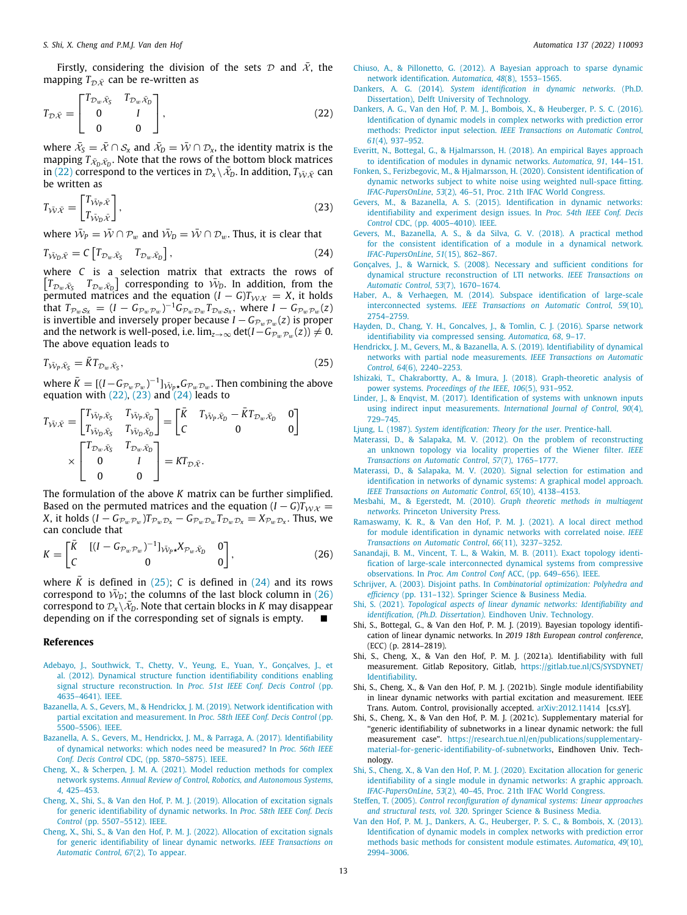Firstly, considering the division of the sets  $\mathcal D$  and  $\bar{\mathcal X}$ , the mapping  $T_{\mathcal{D},\bar{\mathcal{X}}}$  can be re-written as

$$
T_{\mathcal{D}\bar{\mathcal{X}}} = \begin{bmatrix} T_{\mathcal{D}_w \bar{\mathcal{X}}_{\bar{S}}} & T_{\mathcal{D}_w \bar{\mathcal{X}}_{\bar{D}}} \\ 0 & I \\ 0 & 0 \end{bmatrix},\tag{22}
$$

where  $\bar{x}_{\bar{S}} = \bar{X} \cap \mathcal{S}_x$  and  $\bar{x}_{\bar{D}} = \bar{W} \cap \mathcal{D}_x$ , the identity matrix is the mapping  $T_{\bar{\mathcal{X}}_D\bar{\mathcal{X}}_D}$ . Note that the rows of the bottom block matrices in [\(22](#page-12-35)) correspond to the vertices in  $\mathcal{D}_x \setminus \bar{\mathcal{X}}_D$ . In addition,  $T_{\bar{W}\bar{\mathcal{X}}}$  can be written as

$$
T_{\bar{\mathcal{W}}\bar{\mathcal{X}}} = \begin{bmatrix} T_{\bar{\mathcal{W}}_p\bar{\mathcal{X}}} \\ T_{\bar{\mathcal{W}}_p\bar{\mathcal{X}}} \end{bmatrix},\tag{23}
$$

where  $\bar{\mathcal{W}}_P = \bar{\mathcal{W}} \cap \mathcal{P}_w$  and  $\bar{\mathcal{W}}_D = \bar{\mathcal{W}} \cap \mathcal{D}_w$ . Thus, it is clear that

$$
T_{\bar{\mathcal{W}}_D \bar{\mathcal{X}}} = C \left[ T_{\mathcal{D}_w \bar{\mathcal{X}}_S} \quad T_{\mathcal{D}_w \bar{\mathcal{X}}_D} \right],\tag{24}
$$

where *C* is a selection matrix that extracts the rows of  $\left[T_{\mathcal{D}_w\bar{\mathcal{X}}_{\mathcal{S}}}\right]$  corresponding to  $\bar{\mathcal{W}}_D$ . In addition, from the  $\frac{1}{2}$  permuted matrices and the equation (*I* – *G*) $T_{\mathcal{W}X} = X$ , it holds that  $T_{\mathcal{P}_w \mathcal{S}_x} = (I - G_{\mathcal{P}_w \mathcal{P}_w})^{-1} \hat{G}_{\mathcal{P}_w \mathcal{D}_w} T_{\mathcal{D}_w \mathcal{S}_x}$ , where  $I - G_{\mathcal{P}_w \mathcal{P}_w}(z)$ is invertible and inversely proper because  $I - G_{\mathcal{P}_w \mathcal{P}_w}(z)$  is proper and the network is well-posed, i.e.  $\lim_{z\to\infty} \det(I - \widetilde{G_{\mathcal{P}_w}}_{\mathcal{P}_w}(z)) \neq 0.$ The above equation leads to

$$
T_{\bar{\mathcal{W}}_P \bar{\mathcal{X}}_S} = \bar{K} T_{\mathcal{D}_w \bar{\mathcal{X}}_S},\tag{25}
$$

where  $\bar{K} = [(I - G_{\mathcal{P}_w \mathcal{P}_w})^{-1}]_{\bar{\mathcal{W}}p \star} G_{\mathcal{P}_w \mathcal{D}_w}$ . Then combining the above equation with  $(22)$  $(22)$  $(22)$ ,  $(23)$  and  $(24)$  $(24)$  $(24)$  leads to

$$
T_{\tilde{\mathcal{W}}\tilde{\mathcal{X}}} = \begin{bmatrix} T_{\tilde{\mathcal{W}}_P \tilde{\mathcal{X}}_S} & T_{\tilde{\mathcal{W}}_P \tilde{\mathcal{X}}_D} \\ T_{\tilde{\mathcal{W}}_D \tilde{\mathcal{X}}_S} & T_{\tilde{\mathcal{W}}_D \tilde{\mathcal{X}}_D} \end{bmatrix} = \begin{bmatrix} \bar{K} & T_{\tilde{\mathcal{W}}_P \tilde{\mathcal{X}}_D} - \bar{K} T_{\mathcal{D}_w \tilde{\mathcal{X}}_D} & 0 \\ C & 0 & 0 \end{bmatrix} \\ \times \begin{bmatrix} T_{\mathcal{D}_w \tilde{\mathcal{X}}_S} & T_{\mathcal{D}_w \tilde{\mathcal{X}}_D} \\ 0 & I \\ 0 & 0 \end{bmatrix} = K T_{\mathcal{D} \tilde{\mathcal{X}}}.
$$

The formulation of the above *K* matrix can be further simplified. Based on the permuted matrices and the equation  $(I - G)T_{\mathcal{W}X}$  = *X*, it holds  $(I - G_{\mathcal{P}_w \mathcal{P}_w})T_{\mathcal{P}_w \mathcal{D}_x} - G_{\mathcal{P}_w \mathcal{D}_w}T_{\mathcal{D}_w \mathcal{D}_x} = X_{\mathcal{P}_w \mathcal{D}_x}$ . Thus, we can conclude that

$$
K = \begin{bmatrix} \bar{K} & [(I - G_{\mathcal{P}_w \mathcal{P}_w})^{-1}]_{\bar{\mathcal{W}}_p, X_{\mathcal{P}_w, \bar{X}_D}} & 0 \\ C & 0 & 0 \end{bmatrix},
$$
(26)

where  $\overline{K}$  is defined in [\(25\)](#page-12-38); *C* is defined in [\(24\)](#page-12-37) and its rows correspond to  $\bar{W}_D$ ; the columns of the last block column in [\(26\)](#page-12-32) correspond to  $\mathcal{D}_x \setminus \bar{\mathcal{X}}_D$ . Note that certain blocks in *K* may disappear depending on if the corresponding set of signals is empty.

#### **References**

- <span id="page-12-3"></span>[Adebayo, J., Southwick, T., Chetty, V., Yeung, E., Yuan, Y., Gonçalves, J., et](http://refhub.elsevier.com/S0005-1098(21)00622-1/sb1) [al. \(2012\). Dynamical structure function identifiability conditions enabling](http://refhub.elsevier.com/S0005-1098(21)00622-1/sb1) signal structure reconstruction. In *[Proc. 51st IEEE Conf. Decis Control](http://refhub.elsevier.com/S0005-1098(21)00622-1/sb1)* (pp. [4635–4641\). IEEE.](http://refhub.elsevier.com/S0005-1098(21)00622-1/sb1)
- <span id="page-12-22"></span>[Bazanella, A. S., Gevers, M., & Hendrickx, J. M. \(2019\). Network identification with](http://refhub.elsevier.com/S0005-1098(21)00622-1/sb2) [partial excitation and measurement. In](http://refhub.elsevier.com/S0005-1098(21)00622-1/sb2) *Proc. 58th IEEE Conf. Decis Control* (pp. [5500–5506\). IEEE.](http://refhub.elsevier.com/S0005-1098(21)00622-1/sb2)
- <span id="page-12-20"></span>[Bazanella, A. S., Gevers, M., Hendrickx, J. M., & Parraga, A. \(2017\). Identifiability](http://refhub.elsevier.com/S0005-1098(21)00622-1/sb3) [of dynamical networks: which nodes need be measured? In](http://refhub.elsevier.com/S0005-1098(21)00622-1/sb3) *Proc. 56th IEEE Conf. Decis Control* [CDC, \(pp. 5870–5875\). IEEE.](http://refhub.elsevier.com/S0005-1098(21)00622-1/sb3)
- <span id="page-12-0"></span>[Cheng, X., & Scherpen, J. M. A. \(2021\). Model reduction methods for complex](http://refhub.elsevier.com/S0005-1098(21)00622-1/sb4) network systems. *[Annual Review of Control, Robotics, and Autonomous Systems](http://refhub.elsevier.com/S0005-1098(21)00622-1/sb4)*, *4*[, 425–453.](http://refhub.elsevier.com/S0005-1098(21)00622-1/sb4)
- <span id="page-12-33"></span>[Cheng, X., Shi, S., & Van den Hof, P. M. J. \(2019\). Allocation of excitation signals](http://refhub.elsevier.com/S0005-1098(21)00622-1/sb5) [for generic identifiability of dynamic networks. In](http://refhub.elsevier.com/S0005-1098(21)00622-1/sb5) *Proc. 58th IEEE Conf. Decis Control* [\(pp. 5507–5512\). IEEE.](http://refhub.elsevier.com/S0005-1098(21)00622-1/sb5)
- <span id="page-12-24"></span>[Cheng, X., Shi, S., & Van den Hof, P. M. J. \(2022\). Allocation of excitation signals](http://refhub.elsevier.com/S0005-1098(21)00622-1/sb6) [for generic identifiability of linear dynamic networks.](http://refhub.elsevier.com/S0005-1098(21)00622-1/sb6) *IEEE Transactions on [Automatic Control](http://refhub.elsevier.com/S0005-1098(21)00622-1/sb6)*, *67*(2), To appear.
- <span id="page-12-7"></span>[Chiuso, A., & Pillonetto, G. \(2012\). A Bayesian approach to sparse dynamic](http://refhub.elsevier.com/S0005-1098(21)00622-1/sb7) [network identification.](http://refhub.elsevier.com/S0005-1098(21)00622-1/sb7) *Automatica*, *48*(8), 1553–1565.
- <span id="page-12-26"></span>Dankers, A. G. (2014). *[System identification in dynamic networks](http://refhub.elsevier.com/S0005-1098(21)00622-1/sb8)*. (Ph.D. [Dissertation\), Delft University of Technology.](http://refhub.elsevier.com/S0005-1098(21)00622-1/sb8)
- <span id="page-12-35"></span><span id="page-12-12"></span>[Dankers, A. G., Van den Hof, P. M. J., Bombois, X., & Heuberger, P. S. C. \(2016\).](http://refhub.elsevier.com/S0005-1098(21)00622-1/sb9) [Identification of dynamic models in complex networks with prediction error](http://refhub.elsevier.com/S0005-1098(21)00622-1/sb9) methods: Predictor input selection. *[IEEE Transactions on Automatic Control](http://refhub.elsevier.com/S0005-1098(21)00622-1/sb9)*, *61*[\(4\), 937–952.](http://refhub.elsevier.com/S0005-1098(21)00622-1/sb9)
- <span id="page-12-13"></span>[Everitt, N., Bottegal, G., & Hjalmarsson, H. \(2018\). An empirical Bayes approach](http://refhub.elsevier.com/S0005-1098(21)00622-1/sb10) [to identification of modules in dynamic networks.](http://refhub.elsevier.com/S0005-1098(21)00622-1/sb10) *Automatica*, *91*, 144–151.
- <span id="page-12-19"></span>[Fonken, S., Ferizbegovic, M., & Hjalmarsson, H. \(2020\). Consistent identification of](http://refhub.elsevier.com/S0005-1098(21)00622-1/sb11) [dynamic networks subject to white noise using weighted null-space fitting.](http://refhub.elsevier.com/S0005-1098(21)00622-1/sb11) *IFAC-PapersOnLine*, *53*[\(2\), 46–51, Proc. 21th IFAC World Congress.](http://refhub.elsevier.com/S0005-1098(21)00622-1/sb11)
- <span id="page-12-36"></span><span id="page-12-14"></span>[Gevers, M., & Bazanella, A. S. \(2015\). Identification in dynamic networks:](http://refhub.elsevier.com/S0005-1098(21)00622-1/sb12) [identifiability and experiment design issues. In](http://refhub.elsevier.com/S0005-1098(21)00622-1/sb12) *Proc. 54th IEEE Conf. Decis Control* [CDC, \(pp. 4005–4010\). IEEE.](http://refhub.elsevier.com/S0005-1098(21)00622-1/sb12)
- <span id="page-12-15"></span>[Gevers, M., Bazanella, A. S., & da Silva, G. V. \(2018\). A practical method](http://refhub.elsevier.com/S0005-1098(21)00622-1/sb13) [for the consistent identification of a module in a dynamical network.](http://refhub.elsevier.com/S0005-1098(21)00622-1/sb13) *[IFAC-PapersOnLine](http://refhub.elsevier.com/S0005-1098(21)00622-1/sb13)*, *51*(15), 862–867.
- <span id="page-12-37"></span><span id="page-12-4"></span>[Gonçalves, J., & Warnick, S. \(2008\). Necessary and sufficient conditions for](http://refhub.elsevier.com/S0005-1098(21)00622-1/sb14) [dynamical structure reconstruction of LTI networks.](http://refhub.elsevier.com/S0005-1098(21)00622-1/sb14) *IEEE Transactions on [Automatic Control](http://refhub.elsevier.com/S0005-1098(21)00622-1/sb14)*, *53*(7), 1670–1674.
- <span id="page-12-6"></span>[Haber, A., & Verhaegen, M. \(2014\). Subspace identification of large-scale](http://refhub.elsevier.com/S0005-1098(21)00622-1/sb15) interconnected systems. *[IEEE Transactions on Automatic Control](http://refhub.elsevier.com/S0005-1098(21)00622-1/sb15)*, *59*(10), [2754–2759.](http://refhub.elsevier.com/S0005-1098(21)00622-1/sb15)
- <span id="page-12-8"></span>[Hayden, D., Chang, Y. H., Goncalves, J., & Tomlin, C. J. \(2016\). Sparse network](http://refhub.elsevier.com/S0005-1098(21)00622-1/sb16) [identifiability via compressed sensing.](http://refhub.elsevier.com/S0005-1098(21)00622-1/sb16) *Automatica*, *68*, 9–17.
- <span id="page-12-38"></span><span id="page-12-21"></span>[Hendrickx, J. M., Gevers, M., & Bazanella, A. S. \(2019\). Identifiability of dynamical](http://refhub.elsevier.com/S0005-1098(21)00622-1/sb17) [networks with partial node measurements.](http://refhub.elsevier.com/S0005-1098(21)00622-1/sb17) *IEEE Transactions on Automatic Control*, *64*[\(6\), 2240–2253.](http://refhub.elsevier.com/S0005-1098(21)00622-1/sb17)
- <span id="page-12-1"></span>[Ishizaki, T., Chakrabortty, A., & Imura, J. \(2018\). Graph-theoretic analysis of](http://refhub.elsevier.com/S0005-1098(21)00622-1/sb18) power systems. *[Proceedings of the IEEE](http://refhub.elsevier.com/S0005-1098(21)00622-1/sb18)*, *106*(5), 931–952.
- <span id="page-12-16"></span>[Linder, J., & Enqvist, M. \(2017\). Identification of systems with unknown inputs](http://refhub.elsevier.com/S0005-1098(21)00622-1/sb19) [using indirect input measurements.](http://refhub.elsevier.com/S0005-1098(21)00622-1/sb19) *International Journal of Control*, *90*(4), [729–745.](http://refhub.elsevier.com/S0005-1098(21)00622-1/sb19)
- <span id="page-12-27"></span>Ljung, L. (1987). *[System identification: Theory for the user](http://refhub.elsevier.com/S0005-1098(21)00622-1/sb20)*. Prentice-hall.
- <span id="page-12-9"></span>[Materassi, D., & Salapaka, M. V. \(2012\). On the problem of reconstructing](http://refhub.elsevier.com/S0005-1098(21)00622-1/sb21) [an unknown topology via locality properties of the Wiener filter.](http://refhub.elsevier.com/S0005-1098(21)00622-1/sb21) *IEEE [Transactions on Automatic Control](http://refhub.elsevier.com/S0005-1098(21)00622-1/sb21)*, *57*(7), 1765–1777.
- <span id="page-12-17"></span>[Materassi, D., & Salapaka, M. V. \(2020\). Signal selection for estimation and](http://refhub.elsevier.com/S0005-1098(21)00622-1/sb22) [identification in networks of dynamic systems: A graphical model approach.](http://refhub.elsevier.com/S0005-1098(21)00622-1/sb22) *[IEEE Transactions on Automatic Control](http://refhub.elsevier.com/S0005-1098(21)00622-1/sb22)*, *65*(10), 4138–4153.
- <span id="page-12-2"></span>Mesbahi, M., & Egerstedt, M. (2010). *[Graph theoretic methods in multiagent](http://refhub.elsevier.com/S0005-1098(21)00622-1/sb23) networks*[. Princeton University Press.](http://refhub.elsevier.com/S0005-1098(21)00622-1/sb23)
- <span id="page-12-18"></span>[Ramaswamy, K. R., & Van den Hof, P. M. J. \(2021\). A local direct method](http://refhub.elsevier.com/S0005-1098(21)00622-1/sb24) [for module identification in dynamic networks with correlated noise.](http://refhub.elsevier.com/S0005-1098(21)00622-1/sb24) *IEEE [Transactions on Automatic Control](http://refhub.elsevier.com/S0005-1098(21)00622-1/sb24)*, *66*(11), 3237–3252.
- <span id="page-12-32"></span><span id="page-12-10"></span>[Sanandaji, B. M., Vincent, T. L., & Wakin, M. B. \(2011\). Exact topology identi](http://refhub.elsevier.com/S0005-1098(21)00622-1/sb25)[fication of large-scale interconnected dynamical systems from compressive](http://refhub.elsevier.com/S0005-1098(21)00622-1/sb25) observations. In *Proc. Am Control Conf* [ACC, \(pp. 649–656\). IEEE.](http://refhub.elsevier.com/S0005-1098(21)00622-1/sb25)
- <span id="page-12-28"></span>Schrijver, A. (2003). Disjoint paths. In *[Combinatorial optimization: Polyhedra and](http://refhub.elsevier.com/S0005-1098(21)00622-1/sb26) efficiency* [\(pp. 131–132\). Springer Science & Business Media.](http://refhub.elsevier.com/S0005-1098(21)00622-1/sb26)
- <span id="page-12-30"></span>Shi, S. (2021). *[Topological aspects of linear dynamic networks: Identifiability and](http://refhub.elsevier.com/S0005-1098(21)00622-1/sb27) [identification, \(Ph.D. Dissertation\)](http://refhub.elsevier.com/S0005-1098(21)00622-1/sb27)*. Eindhoven Univ. Technology.
- <span id="page-12-11"></span>Shi, S., Bottegal, G., & Van den Hof, P. M. J. (2019). Bayesian topology identification of linear dynamic networks. In *2019 18th European control conference*, (ECC) (p. 2814–2819).
- <span id="page-12-34"></span>Shi, S., Cheng, X., & Van den Hof, P. M. J. (2021a). Identifiability with full measurement. Gitlab Repository, Gitlab, [https://gitlab.tue.nl/CS/SYSDYNET/](https://gitlab.tue.nl/CS/SYSDYNET/Identifiability) [Identifiability](https://gitlab.tue.nl/CS/SYSDYNET/Identifiability).
- <span id="page-12-23"></span>Shi, S., Cheng, X., & Van den Hof, P. M. J. (2021b). Single module identifiability in linear dynamic networks with partial excitation and measurement. IEEE Trans. Autom. Control, provisionally accepted. [arXiv:2012.11414](http://arxiv.org/abs/2012.11414) [cs.sY].
- <span id="page-12-29"></span>Shi, S., Cheng, X., & Van den Hof, P. M. J. (2021c). Supplementary material for ''generic identifiability of subnetworks in a linear dynamic network: the full measurement case". [https://research.tue.nl/en/publications/supplementary](https://research.tue.nl/en/publications/supplementary-material-for-generic-identifiability-of-subnetworks)[material-for-generic- identifiability-of-subnetworks](https://research.tue.nl/en/publications/supplementary-material-for-generic-identifiability-of-subnetworks), Eindhoven Univ. Technology.
- <span id="page-12-25"></span>[Shi, S., Cheng, X., & Van den Hof, P. M. J. \(2020\). Excitation allocation for generic](http://refhub.elsevier.com/S0005-1098(21)00622-1/sb32) [identifiability of a single module in dynamic networks: A graphic approach.](http://refhub.elsevier.com/S0005-1098(21)00622-1/sb32) *IFAC-PapersOnLine*, *53*[\(2\), 40–45, Proc. 21th IFAC World Congress.](http://refhub.elsevier.com/S0005-1098(21)00622-1/sb32)
- <span id="page-12-31"></span>Steffen, T. (2005). *[Control reconfiguration of dynamical systems: Linear approaches](http://refhub.elsevier.com/S0005-1098(21)00622-1/sb33) and structural tests, vol. 320*[. Springer Science & Business Media.](http://refhub.elsevier.com/S0005-1098(21)00622-1/sb33)
- <span id="page-12-5"></span>[Van den Hof, P. M. J., Dankers, A. G., Heuberger, P. S. C., & Bombois, X. \(2013\).](http://refhub.elsevier.com/S0005-1098(21)00622-1/sb34) [Identification of dynamic models in complex networks with prediction error](http://refhub.elsevier.com/S0005-1098(21)00622-1/sb34) [methods basic methods for consistent module estimates.](http://refhub.elsevier.com/S0005-1098(21)00622-1/sb34) *Automatica*, *49*(10), [2994–3006.](http://refhub.elsevier.com/S0005-1098(21)00622-1/sb34)